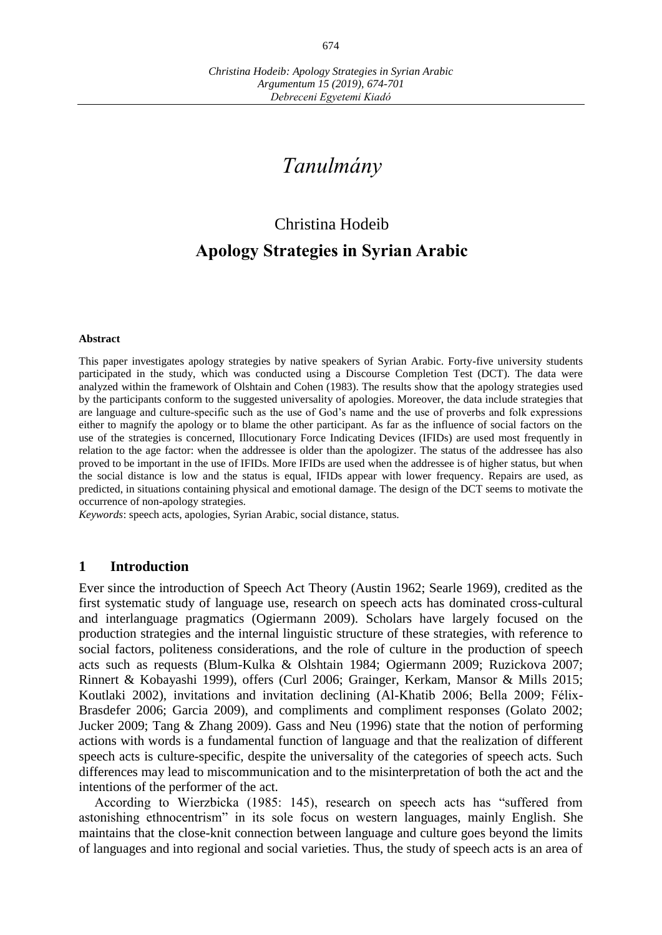# *Tanulmány*

# Christina Hodeib **Apology Strategies in Syrian Arabic**

#### **Abstract**

This paper investigates apology strategies by native speakers of Syrian Arabic. Forty-five university students participated in the study, which was conducted using a Discourse Completion Test (DCT). The data were analyzed within the framework of Olshtain and Cohen (1983). The results show that the apology strategies used by the participants conform to the suggested universality of apologies. Moreover, the data include strategies that are language and culture-specific such as the use of God's name and the use of proverbs and folk expressions either to magnify the apology or to blame the other participant. As far as the influence of social factors on the use of the strategies is concerned, Illocutionary Force Indicating Devices (IFIDs) are used most frequently in relation to the age factor: when the addressee is older than the apologizer. The status of the addressee has also proved to be important in the use of IFIDs. More IFIDs are used when the addressee is of higher status, but when the social distance is low and the status is equal, IFIDs appear with lower frequency. Repairs are used, as predicted, in situations containing physical and emotional damage. The design of the DCT seems to motivate the occurrence of non-apology strategies.

*Keywords*: speech acts, apologies, Syrian Arabic, social distance, status.

#### **1 Introduction**

Ever since the introduction of Speech Act Theory (Austin 1962; Searle 1969), credited as the first systematic study of language use, research on speech acts has dominated cross-cultural and interlanguage pragmatics (Ogiermann 2009). Scholars have largely focused on the production strategies and the internal linguistic structure of these strategies, with reference to social factors, politeness considerations, and the role of culture in the production of speech acts such as requests (Blum-Kulka & Olshtain 1984; Ogiermann 2009; Ruzickova 2007; Rinnert & Kobayashi 1999), offers (Curl 2006; Grainger, Kerkam, Mansor & Mills 2015; Koutlaki 2002), invitations and invitation declining (Al-Khatib 2006; Bella 2009; Félix-Brasdefer 2006; Garcia 2009), and compliments and compliment responses (Golato 2002; Jucker 2009; Tang & Zhang 2009). Gass and Neu (1996) state that the notion of performing actions with words is a fundamental function of language and that the realization of different speech acts is culture-specific, despite the universality of the categories of speech acts. Such differences may lead to miscommunication and to the misinterpretation of both the act and the intentions of the performer of the act.

According to Wierzbicka (1985: 145), research on speech acts has "suffered from astonishing ethnocentrism" in its sole focus on western languages, mainly English. She maintains that the close-knit connection between language and culture goes beyond the limits of languages and into regional and social varieties. Thus, the study of speech acts is an area of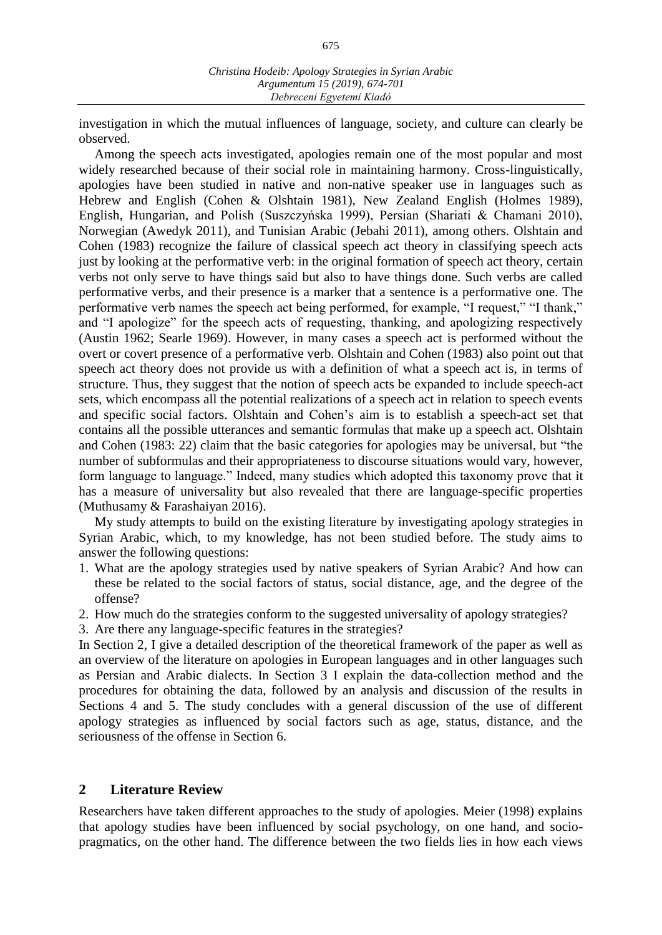investigation in which the mutual influences of language, society, and culture can clearly be observed.

Among the speech acts investigated, apologies remain one of the most popular and most widely researched because of their social role in maintaining harmony. Cross-linguistically, apologies have been studied in native and non-native speaker use in languages such as Hebrew and English (Cohen & Olshtain 1981), New Zealand English (Holmes 1989), English, Hungarian, and Polish (Suszczyńska 1999), Persian (Shariati & Chamani 2010), Norwegian (Awedyk 2011), and Tunisian Arabic (Jebahi 2011), among others. Olshtain and Cohen (1983) recognize the failure of classical speech act theory in classifying speech acts just by looking at the performative verb: in the original formation of speech act theory, certain verbs not only serve to have things said but also to have things done. Such verbs are called performative verbs, and their presence is a marker that a sentence is a performative one. The performative verb names the speech act being performed, for example, "I request," "I thank," and "I apologize" for the speech acts of requesting, thanking, and apologizing respectively (Austin 1962; Searle 1969). However, in many cases a speech act is performed without the overt or covert presence of a performative verb. Olshtain and Cohen (1983) also point out that speech act theory does not provide us with a definition of what a speech act is, in terms of structure. Thus, they suggest that the notion of speech acts be expanded to include speech-act sets, which encompass all the potential realizations of a speech act in relation to speech events and specific social factors. Olshtain and Cohen's aim is to establish a speech-act set that contains all the possible utterances and semantic formulas that make up a speech act. Olshtain and Cohen (1983: 22) claim that the basic categories for apologies may be universal, but "the number of subformulas and their appropriateness to discourse situations would vary, however, form language to language." Indeed, many studies which adopted this taxonomy prove that it has a measure of universality but also revealed that there are language-specific properties (Muthusamy & Farashaiyan 2016).

My study attempts to build on the existing literature by investigating apology strategies in Syrian Arabic, which, to my knowledge, has not been studied before. The study aims to answer the following questions:

- 1. What are the apology strategies used by native speakers of Syrian Arabic? And how can these be related to the social factors of status, social distance, age, and the degree of the offense?
- 2. How much do the strategies conform to the suggested universality of apology strategies?
- 3. Are there any language-specific features in the strategies?

In Section 2, I give a detailed description of the theoretical framework of the paper as well as an overview of the literature on apologies in European languages and in other languages such as Persian and Arabic dialects. In Section 3 I explain the data-collection method and the procedures for obtaining the data, followed by an analysis and discussion of the results in Sections 4 and 5. The study concludes with a general discussion of the use of different apology strategies as influenced by social factors such as age, status, distance, and the seriousness of the offense in Section 6.

# **2 Literature Review**

Researchers have taken different approaches to the study of apologies. Meier (1998) explains that apology studies have been influenced by social psychology, on one hand, and sociopragmatics, on the other hand. The difference between the two fields lies in how each views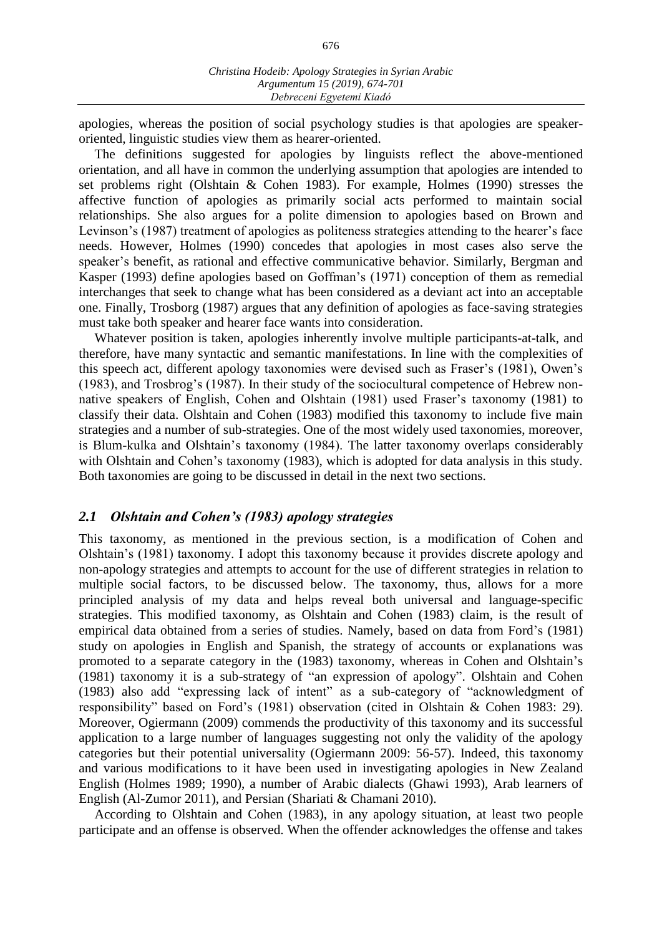apologies, whereas the position of social psychology studies is that apologies are speakeroriented, linguistic studies view them as hearer-oriented.

The definitions suggested for apologies by linguists reflect the above-mentioned orientation, and all have in common the underlying assumption that apologies are intended to set problems right (Olshtain & Cohen 1983). For example, Holmes (1990) stresses the affective function of apologies as primarily social acts performed to maintain social relationships. She also argues for a polite dimension to apologies based on Brown and Levinson's (1987) treatment of apologies as politeness strategies attending to the hearer's face needs. However, Holmes (1990) concedes that apologies in most cases also serve the speaker's benefit, as rational and effective communicative behavior. Similarly, Bergman and Kasper (1993) define apologies based on Goffman's (1971) conception of them as remedial interchanges that seek to change what has been considered as a deviant act into an acceptable one. Finally, Trosborg (1987) argues that any definition of apologies as face-saving strategies must take both speaker and hearer face wants into consideration.

Whatever position is taken, apologies inherently involve multiple participants-at-talk, and therefore, have many syntactic and semantic manifestations. In line with the complexities of this speech act, different apology taxonomies were devised such as Fraser's (1981), Owen's (1983), and Trosbrog's (1987). In their study of the sociocultural competence of Hebrew nonnative speakers of English, Cohen and Olshtain (1981) used Fraser's taxonomy (1981) to classify their data. Olshtain and Cohen (1983) modified this taxonomy to include five main strategies and a number of sub-strategies. One of the most widely used taxonomies, moreover, is Blum-kulka and Olshtain's taxonomy (1984). The latter taxonomy overlaps considerably with Olshtain and Cohen's taxonomy (1983), which is adopted for data analysis in this study. Both taxonomies are going to be discussed in detail in the next two sections.

### *2.1 Olshtain and Cohen's (1983) apology strategies*

This taxonomy, as mentioned in the previous section, is a modification of Cohen and Olshtain's (1981) taxonomy. I adopt this taxonomy because it provides discrete apology and non-apology strategies and attempts to account for the use of different strategies in relation to multiple social factors, to be discussed below. The taxonomy, thus, allows for a more principled analysis of my data and helps reveal both universal and language-specific strategies. This modified taxonomy, as Olshtain and Cohen (1983) claim, is the result of empirical data obtained from a series of studies. Namely, based on data from Ford's (1981) study on apologies in English and Spanish, the strategy of accounts or explanations was promoted to a separate category in the (1983) taxonomy, whereas in Cohen and Olshtain's (1981) taxonomy it is a sub-strategy of "an expression of apology". Olshtain and Cohen (1983) also add "expressing lack of intent" as a sub-category of "acknowledgment of responsibility" based on Ford's (1981) observation (cited in Olshtain & Cohen 1983: 29). Moreover, Ogiermann (2009) commends the productivity of this taxonomy and its successful application to a large number of languages suggesting not only the validity of the apology categories but their potential universality (Ogiermann 2009: 56-57). Indeed, this taxonomy and various modifications to it have been used in investigating apologies in New Zealand English (Holmes 1989; 1990), a number of Arabic dialects (Ghawi 1993), Arab learners of English (Al-Zumor 2011), and Persian (Shariati & Chamani 2010).

According to Olshtain and Cohen (1983), in any apology situation, at least two people participate and an offense is observed. When the offender acknowledges the offense and takes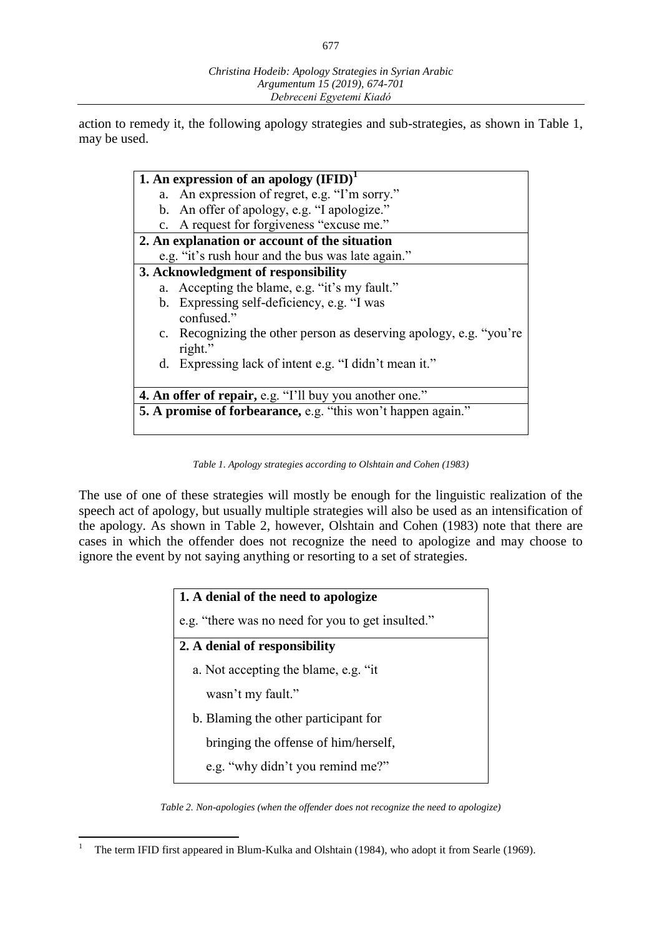action to remedy it, the following apology strategies and sub-strategies, as shown in Table 1, may be used.

|                                                                | 1. An expression of an apology $(IFID)^1$                          |  |
|----------------------------------------------------------------|--------------------------------------------------------------------|--|
|                                                                | a. An expression of regret, e.g. "I'm sorry."                      |  |
|                                                                | b. An offer of apology, e.g. "I apologize."                        |  |
|                                                                | c. A request for forgiveness "excuse me."                          |  |
| 2. An explanation or account of the situation                  |                                                                    |  |
|                                                                | e.g. "it's rush hour and the bus was late again."                  |  |
|                                                                | 3. Acknowledgment of responsibility                                |  |
|                                                                | a. Accepting the blame, e.g. "it's my fault."                      |  |
|                                                                | b. Expressing self-deficiency, e.g. "I was                         |  |
|                                                                | confused."                                                         |  |
|                                                                | c. Recognizing the other person as deserving apology, e.g. "you're |  |
|                                                                | right."                                                            |  |
|                                                                | d. Expressing lack of intent e.g. "I didn't mean it."              |  |
|                                                                |                                                                    |  |
| <b>4. An offer of repair, e.g. "I'll buy you another one."</b> |                                                                    |  |
| 5. A promise of forbearance, e.g. "this won't happen again."   |                                                                    |  |
|                                                                |                                                                    |  |

*Table 1. Apology strategies according to Olshtain and Cohen (1983)*

The use of one of these strategies will mostly be enough for the linguistic realization of the speech act of apology, but usually multiple strategies will also be used as an intensification of the apology. As shown in Table 2, however, Olshtain and Cohen (1983) note that there are cases in which the offender does not recognize the need to apologize and may choose to ignore the event by not saying anything or resorting to a set of strategies.

| 1. A denial of the need to apologize              |  |  |
|---------------------------------------------------|--|--|
| e.g. "there was no need for you to get insulted." |  |  |
| 2. A denial of responsibility                     |  |  |
| a. Not accepting the blame, e.g. "it              |  |  |
| wasn't my fault."                                 |  |  |
| b. Blaming the other participant for              |  |  |
| bringing the offense of him/herself,              |  |  |
| e.g. "why didn't you remind me?"                  |  |  |

*Table 2. Non-apologies (when the offender does not recognize the need to apologize)*

 $\overline{a}$ <sup>1</sup> The term IFID first appeared in Blum-Kulka and Olshtain (1984), who adopt it from Searle (1969).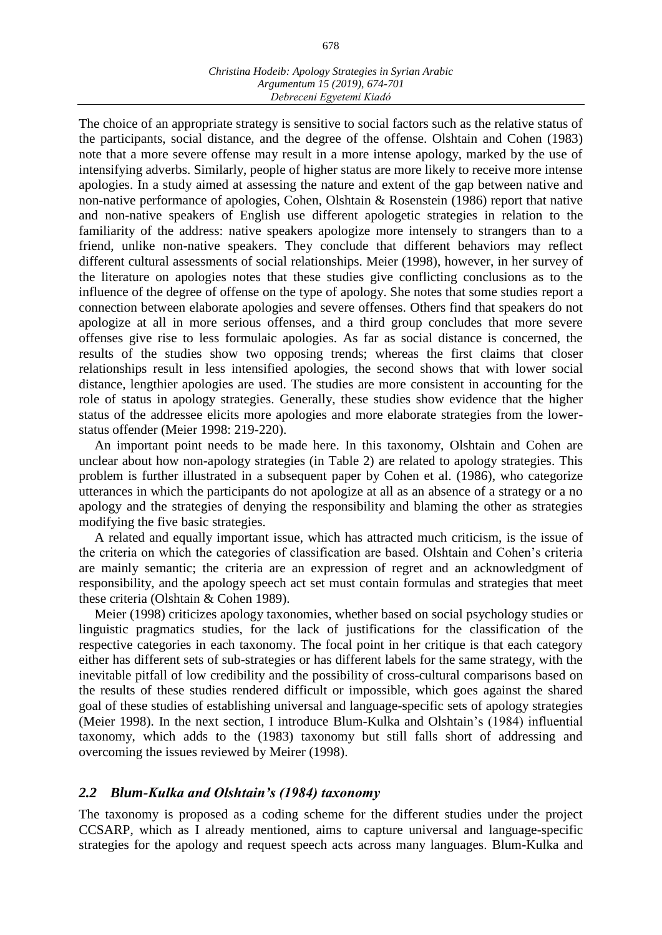The choice of an appropriate strategy is sensitive to social factors such as the relative status of the participants, social distance, and the degree of the offense. Olshtain and Cohen (1983) note that a more severe offense may result in a more intense apology, marked by the use of intensifying adverbs. Similarly, people of higher status are more likely to receive more intense apologies. In a study aimed at assessing the nature and extent of the gap between native and non-native performance of apologies, Cohen, Olshtain & Rosenstein (1986) report that native and non-native speakers of English use different apologetic strategies in relation to the familiarity of the address: native speakers apologize more intensely to strangers than to a friend, unlike non-native speakers. They conclude that different behaviors may reflect different cultural assessments of social relationships. Meier (1998), however, in her survey of the literature on apologies notes that these studies give conflicting conclusions as to the influence of the degree of offense on the type of apology. She notes that some studies report a connection between elaborate apologies and severe offenses. Others find that speakers do not apologize at all in more serious offenses, and a third group concludes that more severe offenses give rise to less formulaic apologies. As far as social distance is concerned, the results of the studies show two opposing trends; whereas the first claims that closer relationships result in less intensified apologies, the second shows that with lower social distance, lengthier apologies are used. The studies are more consistent in accounting for the role of status in apology strategies. Generally, these studies show evidence that the higher status of the addressee elicits more apologies and more elaborate strategies from the lowerstatus offender (Meier 1998: 219-220).

An important point needs to be made here. In this taxonomy, Olshtain and Cohen are unclear about how non-apology strategies (in Table 2) are related to apology strategies. This problem is further illustrated in a subsequent paper by Cohen et al. (1986), who categorize utterances in which the participants do not apologize at all as an absence of a strategy or a no apology and the strategies of denying the responsibility and blaming the other as strategies modifying the five basic strategies.

A related and equally important issue, which has attracted much criticism, is the issue of the criteria on which the categories of classification are based. Olshtain and Cohen's criteria are mainly semantic; the criteria are an expression of regret and an acknowledgment of responsibility, and the apology speech act set must contain formulas and strategies that meet these criteria (Olshtain & Cohen 1989).

Meier (1998) criticizes apology taxonomies, whether based on social psychology studies or linguistic pragmatics studies, for the lack of justifications for the classification of the respective categories in each taxonomy. The focal point in her critique is that each category either has different sets of sub-strategies or has different labels for the same strategy, with the inevitable pitfall of low credibility and the possibility of cross-cultural comparisons based on the results of these studies rendered difficult or impossible, which goes against the shared goal of these studies of establishing universal and language-specific sets of apology strategies (Meier 1998). In the next section, I introduce Blum-Kulka and Olshtain's (1984) influential taxonomy, which adds to the (1983) taxonomy but still falls short of addressing and overcoming the issues reviewed by Meirer (1998).

# *2.2 Blum-Kulka and Olshtain's (1984) taxonomy*

The taxonomy is proposed as a coding scheme for the different studies under the project CCSARP, which as I already mentioned, aims to capture universal and language-specific strategies for the apology and request speech acts across many languages. Blum-Kulka and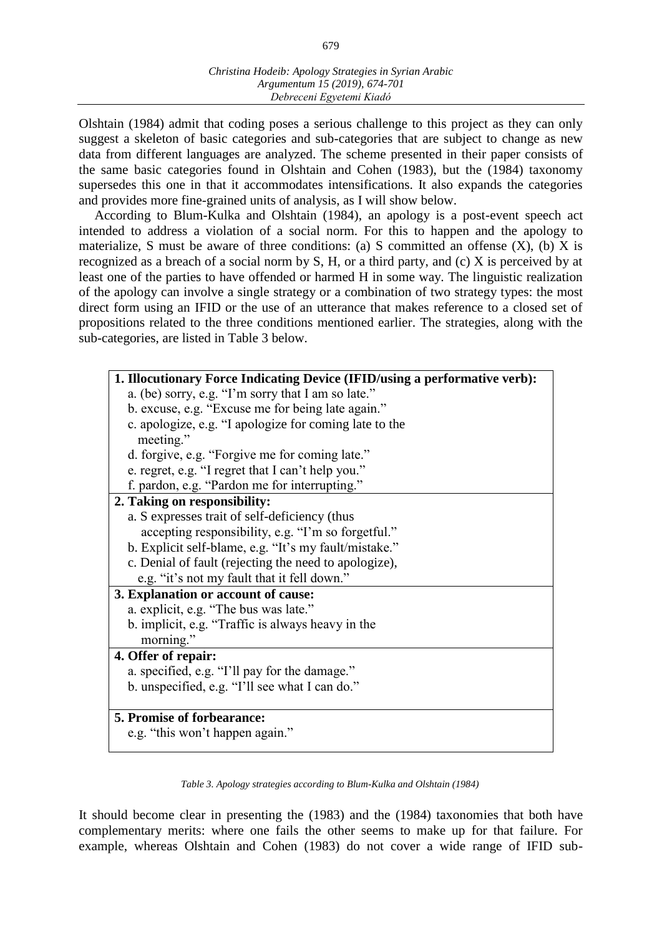Olshtain (1984) admit that coding poses a serious challenge to this project as they can only suggest a skeleton of basic categories and sub-categories that are subject to change as new data from different languages are analyzed. The scheme presented in their paper consists of the same basic categories found in Olshtain and Cohen (1983), but the (1984) taxonomy supersedes this one in that it accommodates intensifications. It also expands the categories and provides more fine-grained units of analysis, as I will show below.

According to Blum-Kulka and Olshtain (1984), an apology is a post-event speech act intended to address a violation of a social norm. For this to happen and the apology to materialize, S must be aware of three conditions: (a) S committed an offense  $(X)$ , (b) X is recognized as a breach of a social norm by S, H, or a third party, and (c) X is perceived by at least one of the parties to have offended or harmed H in some way. The linguistic realization of the apology can involve a single strategy or a combination of two strategy types: the most direct form using an IFID or the use of an utterance that makes reference to a closed set of propositions related to the three conditions mentioned earlier. The strategies, along with the sub-categories, are listed in Table 3 below.

| 1. Illocutionary Force Indicating Device (IFID/using a performative verb): |  |  |
|----------------------------------------------------------------------------|--|--|
| a. (be) sorry, e.g. "I'm sorry that I am so late."                         |  |  |
| b. excuse, e.g. "Excuse me for being late again."                          |  |  |
| c. apologize, e.g. "I apologize for coming late to the<br>meeting."        |  |  |
| d. forgive, e.g. "Forgive me for coming late."                             |  |  |
| e. regret, e.g. "I regret that I can't help you."                          |  |  |
| f. pardon, e.g. "Pardon me for interrupting."                              |  |  |
| 2. Taking on responsibility:                                               |  |  |
| a. S expresses trait of self-deficiency (thus                              |  |  |
| accepting responsibility, e.g. "I'm so forgetful."                         |  |  |
| b. Explicit self-blame, e.g. "It's my fault/mistake."                      |  |  |
| c. Denial of fault (rejecting the need to apologize),                      |  |  |
| e.g. "it's not my fault that it fell down."                                |  |  |
| 3. Explanation or account of cause:                                        |  |  |
| a. explicit, e.g. "The bus was late."                                      |  |  |
| b. implicit, e.g. "Traffic is always heavy in the                          |  |  |
| morning."                                                                  |  |  |
| 4. Offer of repair:                                                        |  |  |
| a. specified, e.g. "I'll pay for the damage."                              |  |  |
| b. unspecified, e.g. "I'll see what I can do."                             |  |  |
|                                                                            |  |  |
| 5. Promise of forbearance:                                                 |  |  |
| e.g. "this won't happen again."                                            |  |  |

*Table 3. Apology strategies according to Blum-Kulka and Olshtain (1984)*

It should become clear in presenting the (1983) and the (1984) taxonomies that both have complementary merits: where one fails the other seems to make up for that failure. For example, whereas Olshtain and Cohen (1983) do not cover a wide range of IFID sub-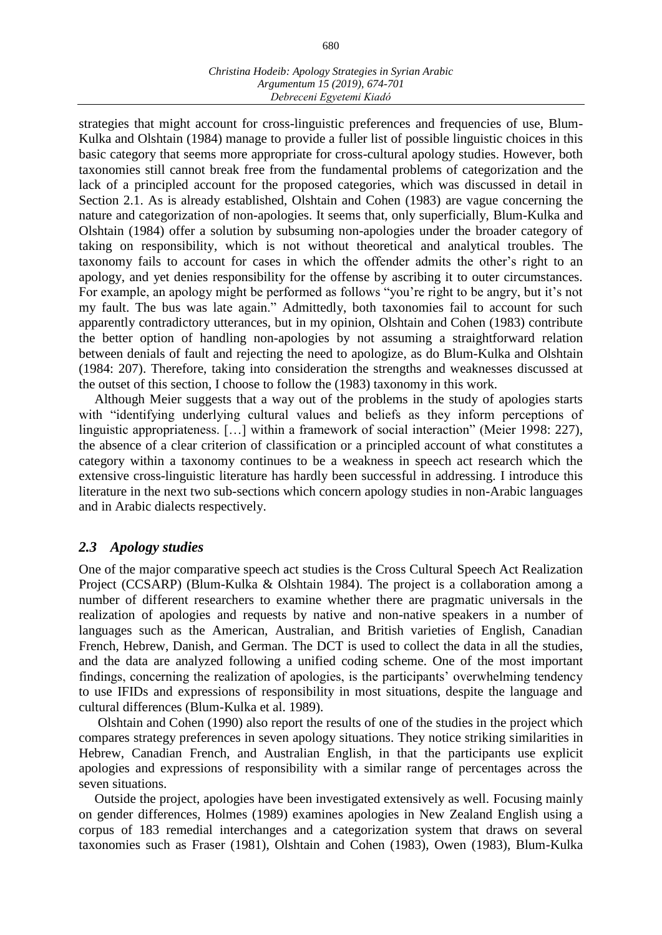strategies that might account for cross-linguistic preferences and frequencies of use, Blum-Kulka and Olshtain (1984) manage to provide a fuller list of possible linguistic choices in this basic category that seems more appropriate for cross-cultural apology studies. However, both taxonomies still cannot break free from the fundamental problems of categorization and the lack of a principled account for the proposed categories, which was discussed in detail in Section 2.1. As is already established, Olshtain and Cohen (1983) are vague concerning the nature and categorization of non-apologies. It seems that, only superficially, Blum-Kulka and Olshtain (1984) offer a solution by subsuming non-apologies under the broader category of taking on responsibility, which is not without theoretical and analytical troubles. The taxonomy fails to account for cases in which the offender admits the other's right to an apology, and yet denies responsibility for the offense by ascribing it to outer circumstances. For example, an apology might be performed as follows "you're right to be angry, but it's not my fault. The bus was late again." Admittedly, both taxonomies fail to account for such apparently contradictory utterances, but in my opinion, Olshtain and Cohen (1983) contribute the better option of handling non-apologies by not assuming a straightforward relation between denials of fault and rejecting the need to apologize, as do Blum-Kulka and Olshtain (1984: 207). Therefore, taking into consideration the strengths and weaknesses discussed at the outset of this section, I choose to follow the (1983) taxonomy in this work.

Although Meier suggests that a way out of the problems in the study of apologies starts with "identifying underlying cultural values and beliefs as they inform perceptions of linguistic appropriateness. […] within a framework of social interaction" (Meier 1998: 227), the absence of a clear criterion of classification or a principled account of what constitutes a category within a taxonomy continues to be a weakness in speech act research which the extensive cross-linguistic literature has hardly been successful in addressing. I introduce this literature in the next two sub-sections which concern apology studies in non-Arabic languages and in Arabic dialects respectively.

# *2.3 Apology studies*

One of the major comparative speech act studies is the Cross Cultural Speech Act Realization Project (CCSARP) (Blum-Kulka & Olshtain 1984). The project is a collaboration among a number of different researchers to examine whether there are pragmatic universals in the realization of apologies and requests by native and non-native speakers in a number of languages such as the American, Australian, and British varieties of English, Canadian French, Hebrew, Danish, and German. The DCT is used to collect the data in all the studies, and the data are analyzed following a unified coding scheme. One of the most important findings, concerning the realization of apologies, is the participants' overwhelming tendency to use IFIDs and expressions of responsibility in most situations, despite the language and cultural differences (Blum-Kulka et al. 1989).

Olshtain and Cohen (1990) also report the results of one of the studies in the project which compares strategy preferences in seven apology situations. They notice striking similarities in Hebrew, Canadian French, and Australian English, in that the participants use explicit apologies and expressions of responsibility with a similar range of percentages across the seven situations.

Outside the project, apologies have been investigated extensively as well. Focusing mainly on gender differences, Holmes (1989) examines apologies in New Zealand English using a corpus of 183 remedial interchanges and a categorization system that draws on several taxonomies such as Fraser (1981), Olshtain and Cohen (1983), Owen (1983), Blum-Kulka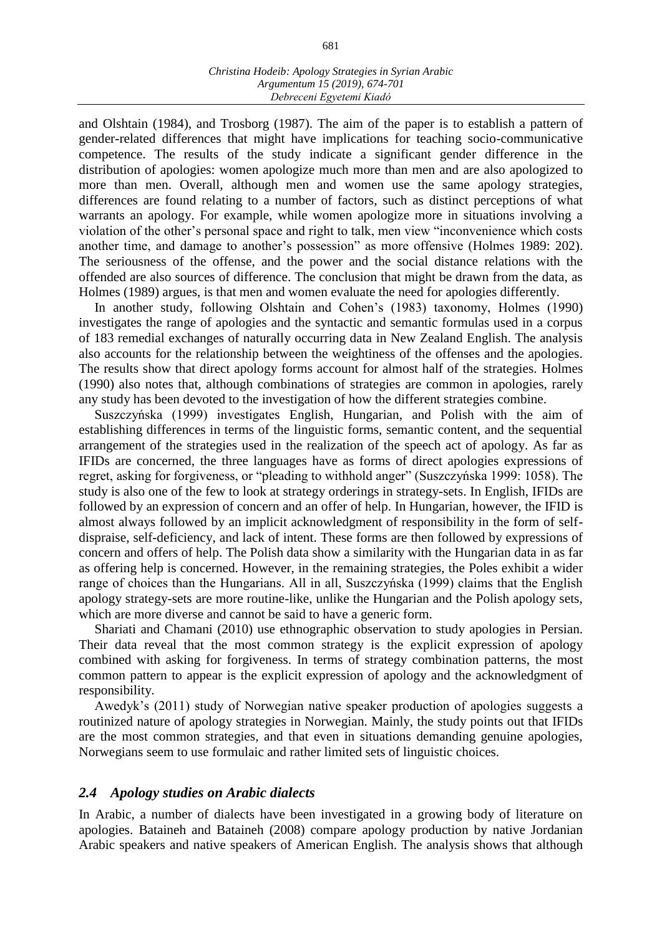and Olshtain (1984), and Trosborg (1987). The aim of the paper is to establish a pattern of gender-related differences that might have implications for teaching socio-communicative competence. The results of the study indicate a significant gender difference in the distribution of apologies: women apologize much more than men and are also apologized to more than men. Overall, although men and women use the same apology strategies, differences are found relating to a number of factors, such as distinct perceptions of what warrants an apology. For example, while women apologize more in situations involving a violation of the other's personal space and right to talk, men view "inconvenience which costs another time, and damage to another's possession" as more offensive (Holmes 1989: 202). The seriousness of the offense, and the power and the social distance relations with the offended are also sources of difference. The conclusion that might be drawn from the data, as Holmes (1989) argues, is that men and women evaluate the need for apologies differently.

In another study, following Olshtain and Cohen's (1983) taxonomy, Holmes (1990) investigates the range of apologies and the syntactic and semantic formulas used in a corpus of 183 remedial exchanges of naturally occurring data in New Zealand English. The analysis also accounts for the relationship between the weightiness of the offenses and the apologies. The results show that direct apology forms account for almost half of the strategies. Holmes (1990) also notes that, although combinations of strategies are common in apologies, rarely any study has been devoted to the investigation of how the different strategies combine.

Suszczyńska (1999) investigates English, Hungarian, and Polish with the aim of establishing differences in terms of the linguistic forms, semantic content, and the sequential arrangement of the strategies used in the realization of the speech act of apology. As far as IFIDs are concerned, the three languages have as forms of direct apologies expressions of regret, asking for forgiveness, or "pleading to withhold anger" (Suszczyńska 1999: 1058). The study is also one of the few to look at strategy orderings in strategy-sets. In English, IFIDs are followed by an expression of concern and an offer of help. In Hungarian, however, the IFID is almost always followed by an implicit acknowledgment of responsibility in the form of selfdispraise, self-deficiency, and lack of intent. These forms are then followed by expressions of concern and offers of help. The Polish data show a similarity with the Hungarian data in as far as offering help is concerned. However, in the remaining strategies, the Poles exhibit a wider range of choices than the Hungarians. All in all, Suszczyńska (1999) claims that the English apology strategy-sets are more routine-like, unlike the Hungarian and the Polish apology sets, which are more diverse and cannot be said to have a generic form.

Shariati and Chamani (2010) use ethnographic observation to study apologies in Persian. Their data reveal that the most common strategy is the explicit expression of apology combined with asking for forgiveness. In terms of strategy combination patterns, the most common pattern to appear is the explicit expression of apology and the acknowledgment of responsibility.

Awedyk's (2011) study of Norwegian native speaker production of apologies suggests a routinized nature of apology strategies in Norwegian. Mainly, the study points out that IFIDs are the most common strategies, and that even in situations demanding genuine apologies, Norwegians seem to use formulaic and rather limited sets of linguistic choices.

#### *2.4 Apology studies on Arabic dialects*

In Arabic, a number of dialects have been investigated in a growing body of literature on apologies. Bataineh and Bataineh (2008) compare apology production by native Jordanian Arabic speakers and native speakers of American English. The analysis shows that although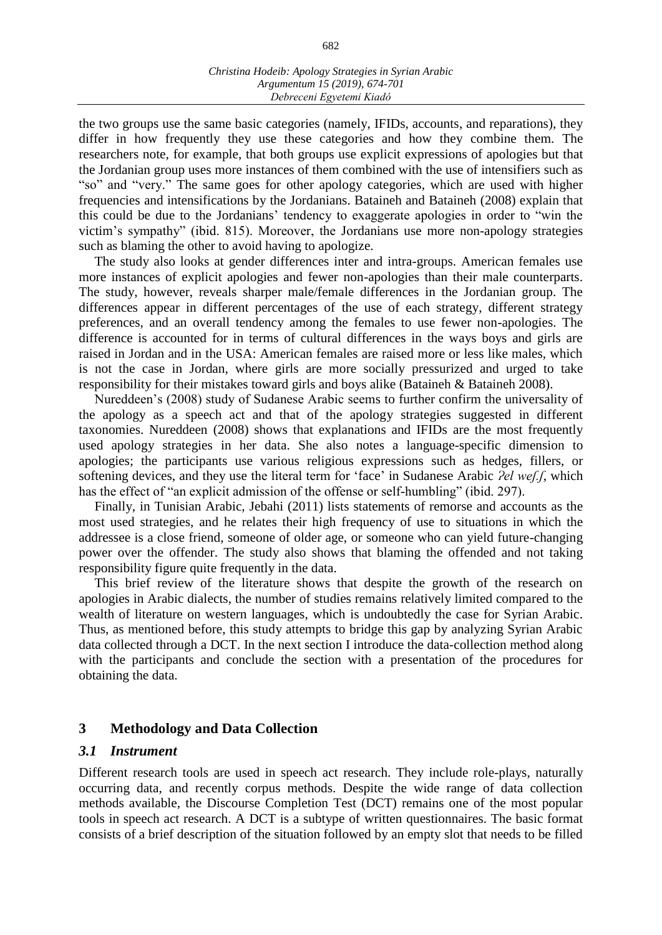the two groups use the same basic categories (namely, IFIDs, accounts, and reparations), they differ in how frequently they use these categories and how they combine them. The researchers note, for example, that both groups use explicit expressions of apologies but that the Jordanian group uses more instances of them combined with the use of intensifiers such as "so" and "very." The same goes for other apology categories, which are used with higher frequencies and intensifications by the Jordanians. Bataineh and Bataineh (2008) explain that this could be due to the Jordanians' tendency to exaggerate apologies in order to "win the victim's sympathy" (ibid. 815). Moreover, the Jordanians use more non-apology strategies such as blaming the other to avoid having to apologize.

The study also looks at gender differences inter and intra-groups. American females use more instances of explicit apologies and fewer non-apologies than their male counterparts. The study, however, reveals sharper male/female differences in the Jordanian group. The differences appear in different percentages of the use of each strategy, different strategy preferences, and an overall tendency among the females to use fewer non-apologies. The difference is accounted for in terms of cultural differences in the ways boys and girls are raised in Jordan and in the USA: American females are raised more or less like males, which is not the case in Jordan, where girls are more socially pressurized and urged to take responsibility for their mistakes toward girls and boys alike (Bataineh & Bataineh 2008).

Nureddeen's (2008) study of Sudanese Arabic seems to further confirm the universality of the apology as a speech act and that of the apology strategies suggested in different taxonomies. Nureddeen (2008) shows that explanations and IFIDs are the most frequently used apology strategies in her data. She also notes a language-specific dimension to apologies; the participants use various religious expressions such as hedges, fillers, or softening devices, and they use the literal term for 'face' in Sudanese Arabic *Ɂel weʃ.ʃ*, which has the effect of "an explicit admission of the offense or self-humbling" (ibid. 297).

Finally, in Tunisian Arabic, Jebahi (2011) lists statements of remorse and accounts as the most used strategies, and he relates their high frequency of use to situations in which the addressee is a close friend, someone of older age, or someone who can yield future-changing power over the offender. The study also shows that blaming the offended and not taking responsibility figure quite frequently in the data.

This brief review of the literature shows that despite the growth of the research on apologies in Arabic dialects, the number of studies remains relatively limited compared to the wealth of literature on western languages, which is undoubtedly the case for Syrian Arabic. Thus, as mentioned before, this study attempts to bridge this gap by analyzing Syrian Arabic data collected through a DCT. In the next section I introduce the data-collection method along with the participants and conclude the section with a presentation of the procedures for obtaining the data.

# **3 Methodology and Data Collection**

#### *3.1 Instrument*

Different research tools are used in speech act research. They include role-plays, naturally occurring data, and recently corpus methods. Despite the wide range of data collection methods available, the Discourse Completion Test (DCT) remains one of the most popular tools in speech act research. A DCT is a subtype of written questionnaires. The basic format consists of a brief description of the situation followed by an empty slot that needs to be filled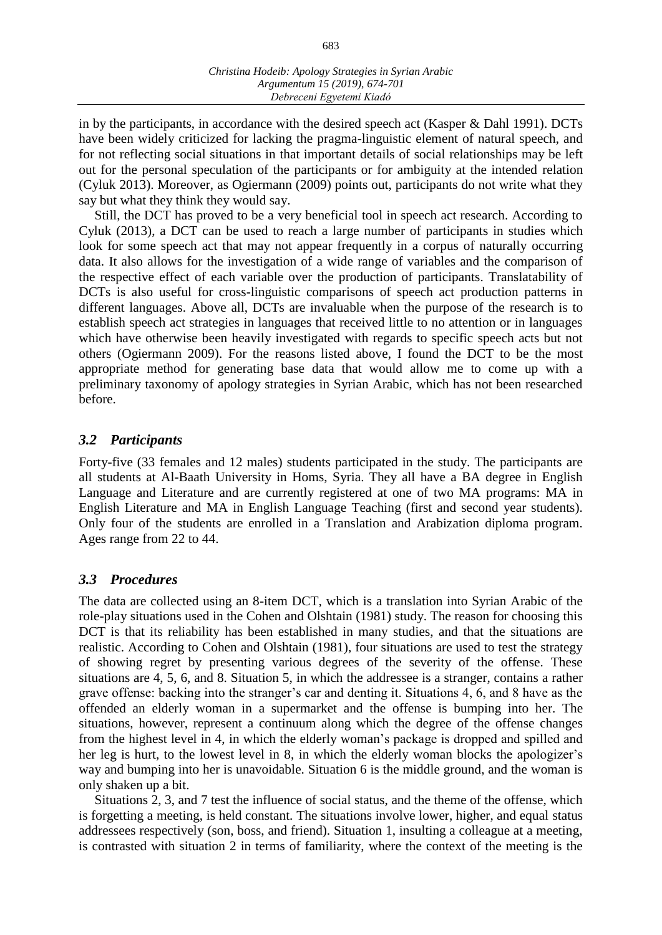in by the participants, in accordance with the desired speech act (Kasper & Dahl 1991). DCTs have been widely criticized for lacking the pragma-linguistic element of natural speech, and for not reflecting social situations in that important details of social relationships may be left out for the personal speculation of the participants or for ambiguity at the intended relation (Cyluk 2013). Moreover, as Ogiermann (2009) points out, participants do not write what they say but what they think they would say.

Still, the DCT has proved to be a very beneficial tool in speech act research. According to Cyluk (2013), a DCT can be used to reach a large number of participants in studies which look for some speech act that may not appear frequently in a corpus of naturally occurring data. It also allows for the investigation of a wide range of variables and the comparison of the respective effect of each variable over the production of participants. Translatability of DCTs is also useful for cross-linguistic comparisons of speech act production patterns in different languages. Above all, DCTs are invaluable when the purpose of the research is to establish speech act strategies in languages that received little to no attention or in languages which have otherwise been heavily investigated with regards to specific speech acts but not others (Ogiermann 2009). For the reasons listed above, I found the DCT to be the most appropriate method for generating base data that would allow me to come up with a preliminary taxonomy of apology strategies in Syrian Arabic, which has not been researched before.

# *3.2 Participants*

Forty-five (33 females and 12 males) students participated in the study. The participants are all students at Al-Baath University in Homs, Syria. They all have a BA degree in English Language and Literature and are currently registered at one of two MA programs: MA in English Literature and MA in English Language Teaching (first and second year students). Only four of the students are enrolled in a Translation and Arabization diploma program. Ages range from 22 to 44.

# *3.3 Procedures*

The data are collected using an 8-item DCT, which is a translation into Syrian Arabic of the role-play situations used in the Cohen and Olshtain (1981) study. The reason for choosing this DCT is that its reliability has been established in many studies, and that the situations are realistic. According to Cohen and Olshtain (1981), four situations are used to test the strategy of showing regret by presenting various degrees of the severity of the offense. These situations are 4, 5, 6, and 8. Situation 5, in which the addressee is a stranger, contains a rather grave offense: backing into the stranger's car and denting it. Situations 4, 6, and 8 have as the offended an elderly woman in a supermarket and the offense is bumping into her. The situations, however, represent a continuum along which the degree of the offense changes from the highest level in 4, in which the elderly woman's package is dropped and spilled and her leg is hurt, to the lowest level in 8, in which the elderly woman blocks the apologizer's way and bumping into her is unavoidable. Situation 6 is the middle ground, and the woman is only shaken up a bit.

Situations 2, 3, and 7 test the influence of social status, and the theme of the offense, which is forgetting a meeting, is held constant. The situations involve lower, higher, and equal status addressees respectively (son, boss, and friend). Situation 1, insulting a colleague at a meeting, is contrasted with situation 2 in terms of familiarity, where the context of the meeting is the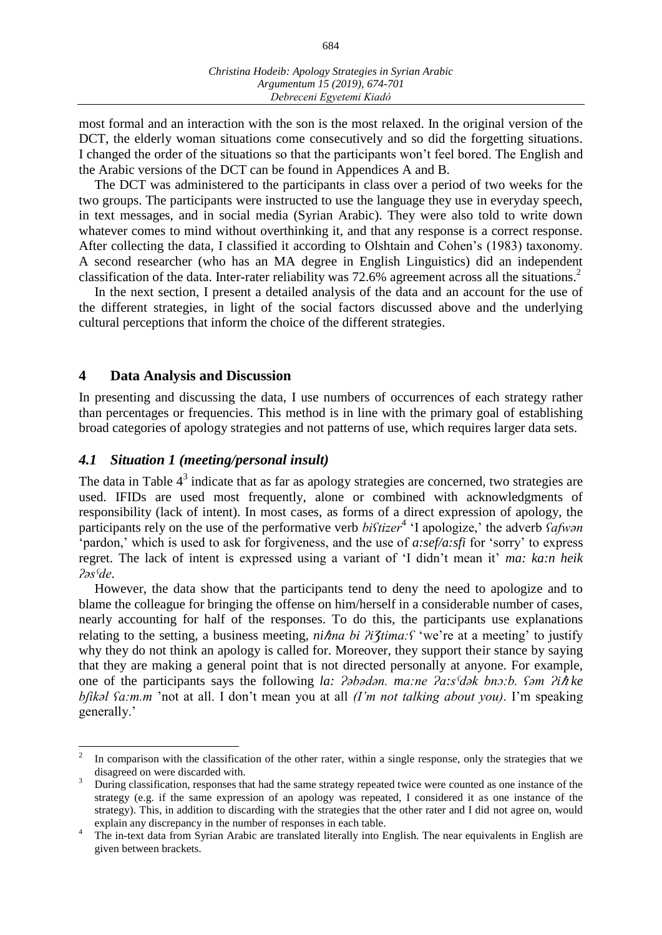most formal and an interaction with the son is the most relaxed. In the original version of the DCT, the elderly woman situations come consecutively and so did the forgetting situations. I changed the order of the situations so that the participants won't feel bored. The English and the Arabic versions of the DCT can be found in Appendices A and B.

The DCT was administered to the participants in class over a period of two weeks for the two groups. The participants were instructed to use the language they use in everyday speech, in text messages, and in social media (Syrian Arabic). They were also told to write down whatever comes to mind without overthinking it, and that any response is a correct response. After collecting the data, I classified it according to Olshtain and Cohen's (1983) taxonomy. A second researcher (who has an MA degree in English Linguistics) did an independent classification of the data. Inter-rater reliability was  $72.6\%$  agreement across all the situations.<sup>2</sup>

In the next section, I present a detailed analysis of the data and an account for the use of the different strategies, in light of the social factors discussed above and the underlying cultural perceptions that inform the choice of the different strategies.

### **4 Data Analysis and Discussion**

 $\overline{a}$ 

In presenting and discussing the data, I use numbers of occurrences of each strategy rather than percentages or frequencies. This method is in line with the primary goal of establishing broad categories of apology strategies and not patterns of use, which requires larger data sets.

# *4.1 Situation 1 (meeting/personal insult)*

The data in Table  $4<sup>3</sup>$  indicate that as far as apology strategies are concerned, two strategies are used. IFIDs are used most frequently, alone or combined with acknowledgments of responsibility (lack of intent). In most cases, as forms of a direct expression of apology, the participants rely on the use of the performative verb *biftizer*<sup>4</sup> 'I apologize,' the adverb *Safwan* 'pardon,' which is used to ask for forgiveness, and the use of *a:sef/a:sfi* for 'sorry' to express regret. The lack of intent is expressed using a variant of 'I didn't mean it' *ma: ka:n heik ʔəsˤde*.

However, the data show that the participants tend to deny the need to apologize and to blame the colleague for bringing the offense on him/herself in a considerable number of cases, nearly accounting for half of the responses. To do this, the participants use explanations relating to the setting, a business meeting, *niħna bi ʔi3tima*:*f* 'we're at a meeting' to justify why they do not think an apology is called for. Moreover, they support their stance by saying that they are making a general point that is not directed personally at anyone. For example, one of the participants says the following *la: Pəbədən. ma:ne Pa:s<sup>s</sup>dək bnə:b. Səm Pi* $\hbar$ *ke bʃikəl ʕa:m.m* 'not at all. I don't mean you at all *(I'm not talking about you)*. I'm speaking generally.'

<sup>2</sup> In comparison with the classification of the other rater, within a single response, only the strategies that we disagreed on were discarded with.

<sup>&</sup>lt;sup>3</sup> During classification, responses that had the same strategy repeated twice were counted as one instance of the strategy (e.g. if the same expression of an apology was repeated, I considered it as one instance of the strategy). This, in addition to discarding with the strategies that the other rater and I did not agree on, would explain any discrepancy in the number of responses in each table.

<sup>&</sup>lt;sup>4</sup> The in-text data from Syrian Arabic are translated literally into English. The near equivalents in English are given between brackets.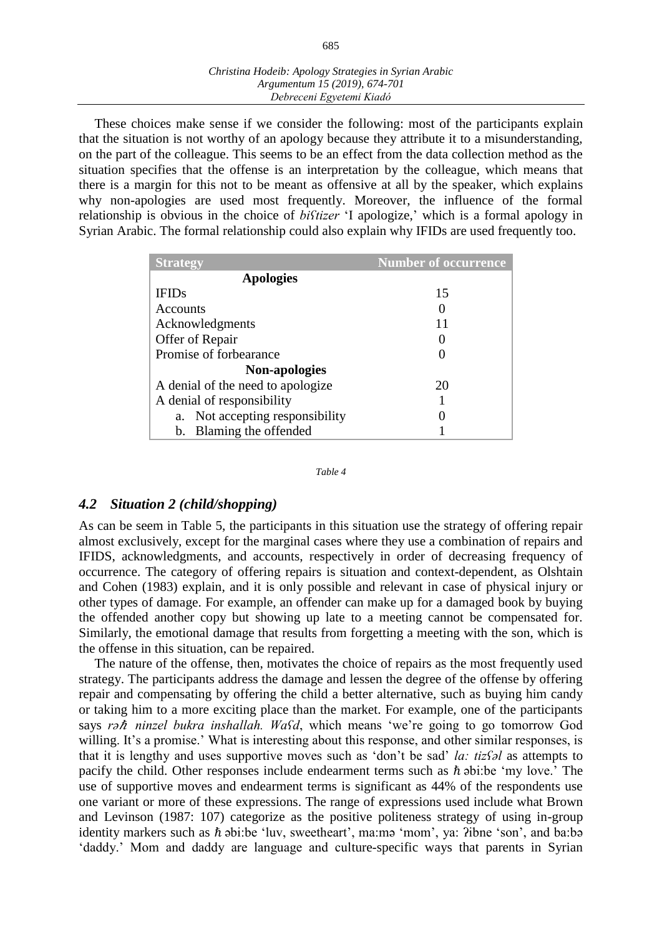| Christina Hodeib: Apology Strategies in Syrian Arabic |
|-------------------------------------------------------|
| Argumentum 15 (2019), 674-701                         |
| Debreceni Egyetemi Kiadó                              |

These choices make sense if we consider the following: most of the participants explain that the situation is not worthy of an apology because they attribute it to a misunderstanding, on the part of the colleague. This seems to be an effect from the data collection method as the situation specifies that the offense is an interpretation by the colleague, which means that there is a margin for this not to be meant as offensive at all by the speaker, which explains why non-apologies are used most frequently. Moreover, the influence of the formal relationship is obvious in the choice of *biʕtizer* 'I apologize,' which is a formal apology in Syrian Arabic. The formal relationship could also explain why IFIDs are used frequently too.

| <b>Strategy</b>                    | <b>Number of occurrence</b> |
|------------------------------------|-----------------------------|
| <b>Apologies</b>                   |                             |
| <b>IFIDs</b>                       | 15                          |
| Accounts                           |                             |
| Acknowledgments                    | 11                          |
| Offer of Repair                    |                             |
| Promise of forbearance             |                             |
| <b>Non-apologies</b>               |                             |
| A denial of the need to apologize  | 20                          |
| A denial of responsibility         |                             |
| Not accepting responsibility<br>a. |                             |
| b. Blaming the offended            |                             |

*Table 4*

#### *4.2 Situation 2 (child/shopping)*

As can be seem in Table 5, the participants in this situation use the strategy of offering repair almost exclusively, except for the marginal cases where they use a combination of repairs and IFIDS, acknowledgments, and accounts, respectively in order of decreasing frequency of occurrence. The category of offering repairs is situation and context-dependent, as Olshtain and Cohen (1983) explain, and it is only possible and relevant in case of physical injury or other types of damage. For example, an offender can make up for a damaged book by buying the offended another copy but showing up late to a meeting cannot be compensated for. Similarly, the emotional damage that results from forgetting a meeting with the son, which is the offense in this situation, can be repaired.

The nature of the offense, then, motivates the choice of repairs as the most frequently used strategy. The participants address the damage and lessen the degree of the offense by offering repair and compensating by offering the child a better alternative, such as buying him candy or taking him to a more exciting place than the market. For example, one of the participants says *rə*ℏ *ninzel bukra inshallah. Waʕd*, which means 'we're going to go tomorrow God willing. It's a promise.' What is interesting about this response, and other similar responses, is that it is lengthy and uses supportive moves such as 'don't be sad' *la: tizʕəl* as attempts to pacify the child. Other responses include endearment terms such as  $\hbar$  abi:be 'my love.' The use of supportive moves and endearment terms is significant as 44% of the respondents use one variant or more of these expressions. The range of expressions used include what Brown and Levinson (1987: 107) categorize as the positive politeness strategy of using in-group identity markers such as  $\hbar$  abi:be 'luv, sweetheart', ma:ma 'mom', ya: ?ibne 'son', and ba:ba 'daddy.' Mom and daddy are language and culture-specific ways that parents in Syrian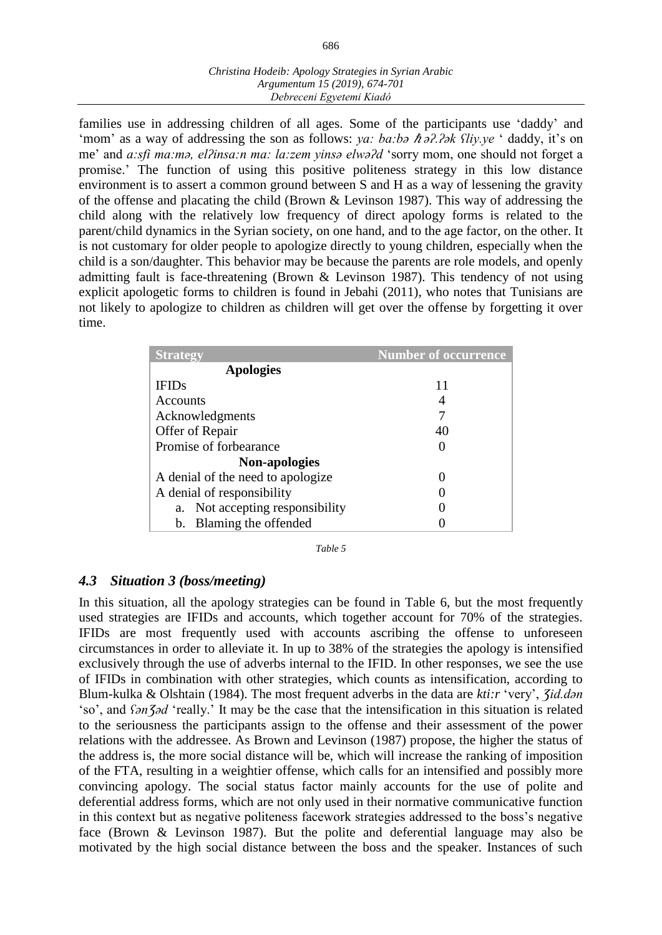families use in addressing children of all ages. Some of the participants use 'daddy' and 'mom' as a way of addressing the son as follows: *ya: ba:bə ħ ə?.?*ək *fliy.ye* ' daddy, it's on me' and *a:sfi ma:mə, elʔinsa:n ma: la:zem yinsə elwəʔd* 'sorry mom, one should not forget a promise.' The function of using this positive politeness strategy in this low distance environment is to assert a common ground between S and H as a way of lessening the gravity of the offense and placating the child (Brown & Levinson 1987). This way of addressing the child along with the relatively low frequency of direct apology forms is related to the parent/child dynamics in the Syrian society, on one hand, and to the age factor, on the other. It is not customary for older people to apologize directly to young children, especially when the child is a son/daughter. This behavior may be because the parents are role models, and openly admitting fault is face-threatening (Brown & Levinson 1987). This tendency of not using explicit apologetic forms to children is found in Jebahi (2011), who notes that Tunisians are not likely to apologize to children as children will get over the offense by forgetting it over time.

| <b>Strategy</b>                    | <b>Number of occurrence</b> |
|------------------------------------|-----------------------------|
| <b>Apologies</b>                   |                             |
| <b>IFIDs</b>                       | 11                          |
| Accounts                           |                             |
| Acknowledgments                    |                             |
| Offer of Repair                    | 40                          |
| Promise of forbearance             |                             |
| <b>Non-apologies</b>               |                             |
| A denial of the need to apologize  |                             |
| A denial of responsibility         |                             |
| Not accepting responsibility<br>a. |                             |
| b. Blaming the offended            |                             |

*Table 5*

# *4.3 Situation 3 (boss/meeting)*

In this situation, all the apology strategies can be found in Table 6, but the most frequently used strategies are IFIDs and accounts, which together account for 70% of the strategies. IFIDs are most frequently used with accounts ascribing the offense to unforeseen circumstances in order to alleviate it. In up to 38% of the strategies the apology is intensified exclusively through the use of adverbs internal to the IFID. In other responses, we see the use of IFIDs in combination with other strategies, which counts as intensification, according to Blum-kulka & Olshtain (1984). The most frequent adverbs in the data are *kti:r* 'very', *Ʒid.dən* 'so', and *fanJad* 'really.' It may be the case that the intensification in this situation is related to the seriousness the participants assign to the offense and their assessment of the power relations with the addressee. As Brown and Levinson (1987) propose, the higher the status of the address is, the more social distance will be, which will increase the ranking of imposition of the FTA, resulting in a weightier offense, which calls for an intensified and possibly more convincing apology. The social status factor mainly accounts for the use of polite and deferential address forms, which are not only used in their normative communicative function in this context but as negative politeness facework strategies addressed to the boss's negative face (Brown & Levinson 1987). But the polite and deferential language may also be motivated by the high social distance between the boss and the speaker. Instances of such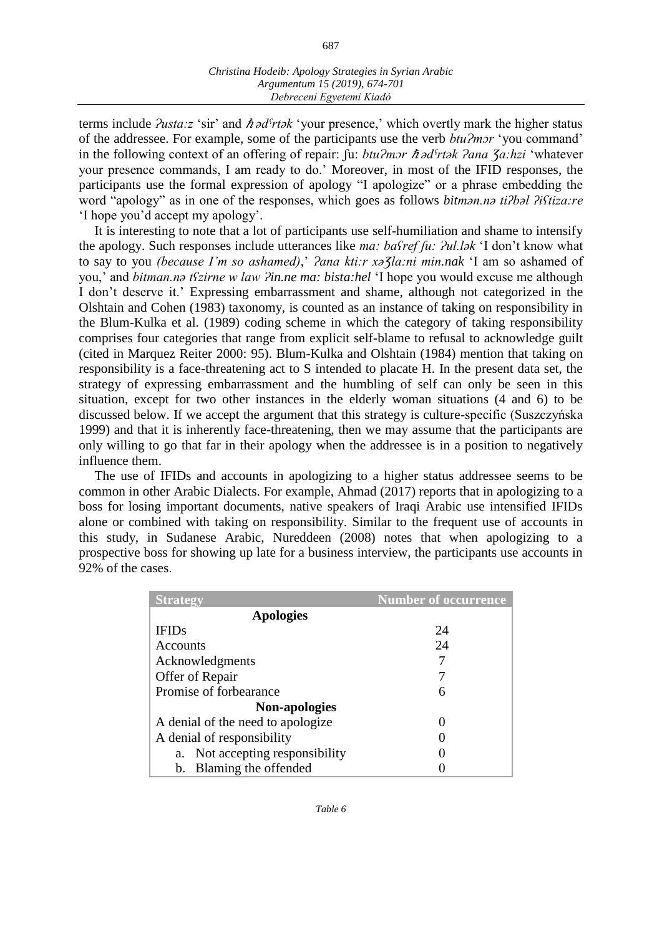687

terms include *Ɂusta:z* 'sir' and ℏ *ədˤrtək* 'your presence,' which overtly mark the higher status of the addressee. For example, some of the participants use the verb *btu?mor* 'you command' in the following context of an offering of repair: fu: *btuʔmɔr ħ* ad<sup>*s<sub>rtak</sub> ʔana ʒa:hzi* 'whatever'</sup> your presence commands, I am ready to do.' Moreover, in most of the IFID responses, the participants use the formal expression of apology "I apologize" or a phrase embedding the word "apology" as in one of the responses, which goes as follows *bitmən.nə tiʔbəl ʔiʕtiza:re* 'I hope you'd accept my apology'.

It is interesting to note that a lot of participants use self-humiliation and shame to intensify the apology. Such responses include utterances like *ma: bastef fu: ?ul.lak* 'I don't know what to say to you *(because I'm so ashamed)*,' *?ana kti:r xa Ja:ni min.nak* 'I am so ashamed of you,' and *bitman.na t<sup>c</sup>zirne w law ?in.ne ma: bista:hel* 'I hope you would excuse me although I don't deserve it.' Expressing embarrassment and shame, although not categorized in the Olshtain and Cohen (1983) taxonomy, is counted as an instance of taking on responsibility in the Blum-Kulka et al. (1989) coding scheme in which the category of taking responsibility comprises four categories that range from explicit self-blame to refusal to acknowledge guilt (cited in Marquez Reiter 2000: 95). Blum-Kulka and Olshtain (1984) mention that taking on responsibility is a face-threatening act to S intended to placate H. In the present data set, the strategy of expressing embarrassment and the humbling of self can only be seen in this situation, except for two other instances in the elderly woman situations (4 and 6) to be discussed below. If we accept the argument that this strategy is culture-specific (Suszczyńska 1999) and that it is inherently face-threatening, then we may assume that the participants are only willing to go that far in their apology when the addressee is in a position to negatively influence them.

The use of IFIDs and accounts in apologizing to a higher status addressee seems to be common in other Arabic Dialects. For example, Ahmad (2017) reports that in apologizing to a boss for losing important documents, native speakers of Iraqi Arabic use intensified IFIDs alone or combined with taking on responsibility. Similar to the frequent use of accounts in this study, in Sudanese Arabic, Nureddeen (2008) notes that when apologizing to a prospective boss for showing up late for a business interview, the participants use accounts in 92% of the cases.

| <b>Strategy</b>                   | <b>Number of occurrence</b> |
|-----------------------------------|-----------------------------|
| <b>Apologies</b>                  |                             |
| <b>IFIDs</b>                      | 24                          |
| Accounts                          | 24                          |
| Acknowledgments                   |                             |
| Offer of Repair                   |                             |
| Promise of forbearance            | 6                           |
| <b>Non-apologies</b>              |                             |
| A denial of the need to apologize |                             |
| A denial of responsibility        |                             |
| a. Not accepting responsibility   |                             |
| b. Blaming the offended           |                             |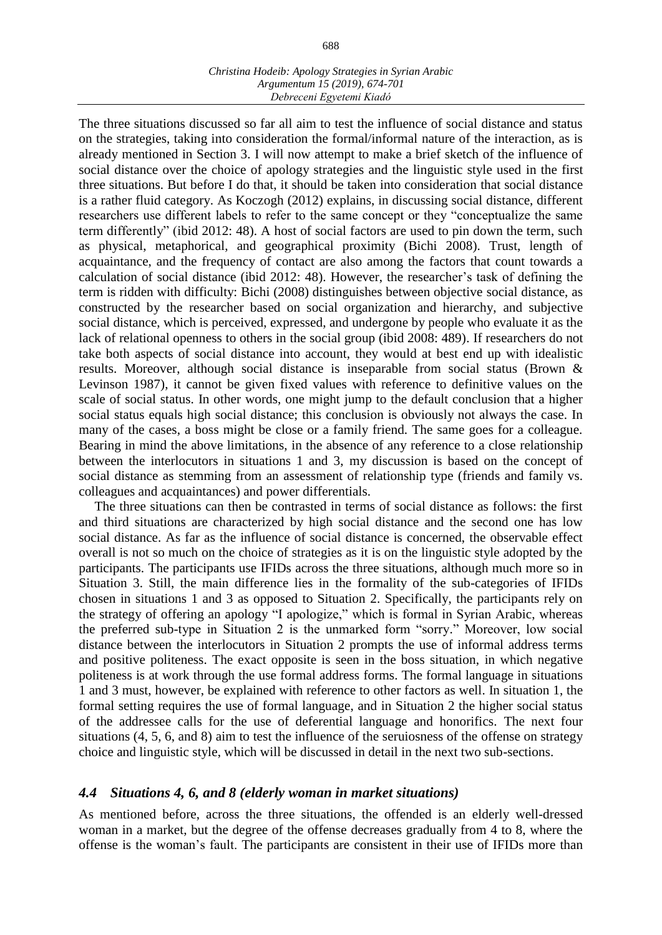The three situations discussed so far all aim to test the influence of social distance and status on the strategies, taking into consideration the formal/informal nature of the interaction, as is already mentioned in Section 3. I will now attempt to make a brief sketch of the influence of social distance over the choice of apology strategies and the linguistic style used in the first three situations. But before I do that, it should be taken into consideration that social distance is a rather fluid category. As Koczogh (2012) explains, in discussing social distance, different researchers use different labels to refer to the same concept or they "conceptualize the same term differently" (ibid 2012: 48). A host of social factors are used to pin down the term, such as physical, metaphorical, and geographical proximity (Bichi 2008). Trust, length of acquaintance, and the frequency of contact are also among the factors that count towards a calculation of social distance (ibid 2012: 48). However, the researcher's task of defining the term is ridden with difficulty: Bichi (2008) distinguishes between objective social distance, as constructed by the researcher based on social organization and hierarchy, and subjective social distance, which is perceived, expressed, and undergone by people who evaluate it as the lack of relational openness to others in the social group (ibid 2008: 489). If researchers do not take both aspects of social distance into account, they would at best end up with idealistic results. Moreover, although social distance is inseparable from social status (Brown & Levinson 1987), it cannot be given fixed values with reference to definitive values on the scale of social status. In other words, one might jump to the default conclusion that a higher social status equals high social distance; this conclusion is obviously not always the case. In many of the cases, a boss might be close or a family friend. The same goes for a colleague. Bearing in mind the above limitations, in the absence of any reference to a close relationship between the interlocutors in situations 1 and 3, my discussion is based on the concept of social distance as stemming from an assessment of relationship type (friends and family vs. colleagues and acquaintances) and power differentials.

The three situations can then be contrasted in terms of social distance as follows: the first and third situations are characterized by high social distance and the second one has low social distance. As far as the influence of social distance is concerned, the observable effect overall is not so much on the choice of strategies as it is on the linguistic style adopted by the participants. The participants use IFIDs across the three situations, although much more so in Situation 3. Still, the main difference lies in the formality of the sub-categories of IFIDs chosen in situations 1 and 3 as opposed to Situation 2. Specifically, the participants rely on the strategy of offering an apology "I apologize," which is formal in Syrian Arabic, whereas the preferred sub-type in Situation 2 is the unmarked form "sorry." Moreover, low social distance between the interlocutors in Situation 2 prompts the use of informal address terms and positive politeness. The exact opposite is seen in the boss situation, in which negative politeness is at work through the use formal address forms. The formal language in situations 1 and 3 must, however, be explained with reference to other factors as well. In situation 1, the formal setting requires the use of formal language, and in Situation 2 the higher social status of the addressee calls for the use of deferential language and honorifics. The next four situations (4, 5, 6, and 8) aim to test the influence of the seruiosness of the offense on strategy choice and linguistic style, which will be discussed in detail in the next two sub-sections.

# *4.4 Situations 4, 6, and 8 (elderly woman in market situations)*

As mentioned before, across the three situations, the offended is an elderly well-dressed woman in a market, but the degree of the offense decreases gradually from 4 to 8, where the offense is the woman's fault. The participants are consistent in their use of IFIDs more than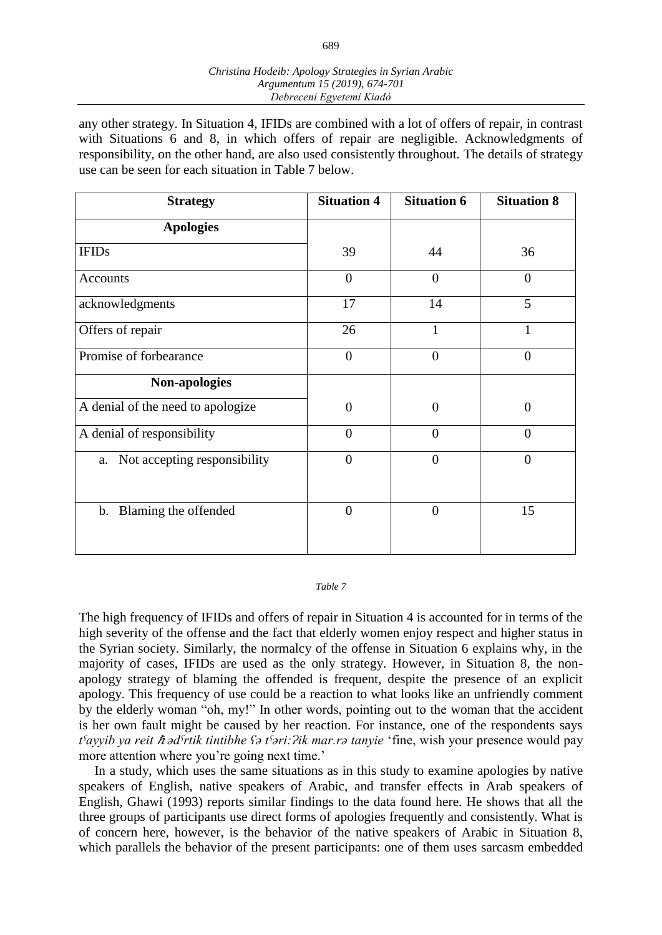any other strategy. In Situation 4, IFIDs are combined with a lot of offers of repair, in contrast with Situations 6 and 8, in which offers of repair are negligible. Acknowledgments of responsibility, on the other hand, are also used consistently throughout. The details of strategy use can be seen for each situation in Table 7 below.

| <b>Strategy</b>                       | <b>Situation 4</b> | <b>Situation 6</b> | <b>Situation 8</b> |
|---------------------------------------|--------------------|--------------------|--------------------|
| <b>Apologies</b>                      |                    |                    |                    |
| <b>IFIDs</b>                          | 39                 | 44                 | 36                 |
| Accounts                              | $\overline{0}$     | $\overline{0}$     | $\overline{0}$     |
| acknowledgments                       | 17                 | 14                 | 5                  |
| Offers of repair                      | 26                 | 1                  | 1                  |
| Promise of forbearance                | $\overline{0}$     | $\overline{0}$     | $\overline{0}$     |
| Non-apologies                         |                    |                    |                    |
| A denial of the need to apologize     | $\theta$           | $\Omega$           | $\theta$           |
| A denial of responsibility            | $\overline{0}$     | $\overline{0}$     | $\overline{0}$     |
| Not accepting responsibility<br>a.    | $\overline{0}$     | $\overline{0}$     | $\overline{0}$     |
| Blaming the offended<br>$\mathbf b$ . | $\overline{0}$     | $\overline{0}$     | 15                 |

#### *Table 7*

The high frequency of IFIDs and offers of repair in Situation 4 is accounted for in terms of the high severity of the offense and the fact that elderly women enjoy respect and higher status in the Syrian society. Similarly, the normalcy of the offense in Situation 6 explains why, in the majority of cases, IFIDs are used as the only strategy. However, in Situation 8, the nonapology strategy of blaming the offended is frequent, despite the presence of an explicit apology. This frequency of use could be a reaction to what looks like an unfriendly comment by the elderly woman "oh, my!" In other words, pointing out to the woman that the accident is her own fault might be caused by her reaction. For instance, one of the respondents says *tˤayyib ya reit* ℏ *ədˤrtik tintibhe ʕə tˤəri:Ɂik mar.rə tanyie* 'fine, wish your presence would pay more attention where you're going next time.'

In a study, which uses the same situations as in this study to examine apologies by native speakers of English, native speakers of Arabic, and transfer effects in Arab speakers of English, Ghawi (1993) reports similar findings to the data found here. He shows that all the three groups of participants use direct forms of apologies frequently and consistently. What is of concern here, however, is the behavior of the native speakers of Arabic in Situation 8, which parallels the behavior of the present participants: one of them uses sarcasm embedded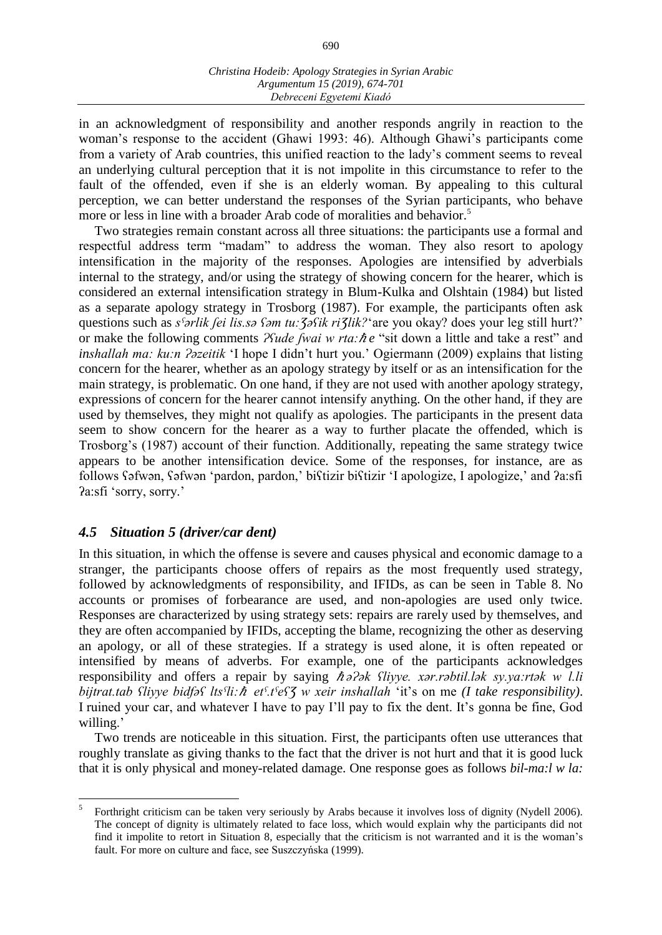in an acknowledgment of responsibility and another responds angrily in reaction to the woman's response to the accident (Ghawi 1993: 46). Although Ghawi's participants come from a variety of Arab countries, this unified reaction to the lady's comment seems to reveal an underlying cultural perception that it is not impolite in this circumstance to refer to the fault of the offended, even if she is an elderly woman. By appealing to this cultural perception, we can better understand the responses of the Syrian participants, who behave more or less in line with a broader Arab code of moralities and behavior.<sup>5</sup>

Two strategies remain constant across all three situations: the participants use a formal and respectful address term "madam" to address the woman. They also resort to apology intensification in the majority of the responses. Apologies are intensified by adverbials internal to the strategy, and/or using the strategy of showing concern for the hearer, which is considered an external intensification strategy in Blum-Kulka and Olshtain (1984) but listed as a separate apology strategy in Trosborg (1987). For example, the participants often ask questions such as *s<sup>s</sup>arlik fei lis.sa sam tu: <i>ζasik ri ζlik?* are you okay? does your leg still hurt?' or make the following comments *<i>Psude [wai w rta:* $\hbar e$  "sit down a little and take a rest" and *inshallah ma: ku:n ?əzeitik* 'I hope I didn't hurt you.' Ogiermann (2009) explains that listing concern for the hearer, whether as an apology strategy by itself or as an intensification for the main strategy, is problematic. On one hand, if they are not used with another apology strategy, expressions of concern for the hearer cannot intensify anything. On the other hand, if they are used by themselves, they might not qualify as apologies. The participants in the present data seem to show concern for the hearer as a way to further placate the offended, which is Trosborg's (1987) account of their function. Additionally, repeating the same strategy twice appears to be another intensification device. Some of the responses, for instance, are as follows ʕəfwən, ʕəfwən 'pardon, pardon,' biʕtizir biʕtizir 'I apologize, I apologize,' and ʔa:sfi ʔa:sfi 'sorry, sorry.'

# *4.5 Situation 5 (driver/car dent)*

 $\overline{a}$ 

In this situation, in which the offense is severe and causes physical and economic damage to a stranger, the participants choose offers of repairs as the most frequently used strategy, followed by acknowledgments of responsibility, and IFIDs, as can be seen in Table 8. No accounts or promises of forbearance are used, and non-apologies are used only twice. Responses are characterized by using strategy sets: repairs are rarely used by themselves, and they are often accompanied by IFIDs, accepting the blame, recognizing the other as deserving an apology, or all of these strategies. If a strategy is used alone, it is often repeated or intensified by means of adverbs. For example, one of the participants acknowledges responsibility and offers a repair by saying  $\hbar \partial \partial \partial k$  *flivye. xar.rabtil.lak sy.ya:rtak w l.li bijtrat.tab ʕliyye bidfəʕ ltsˤli:*ℏ *etˤ.tˤeʕƷ w xeir inshallah* 'it's on me *(I take responsibility)*. I ruined your car, and whatever I have to pay I'll pay to fix the dent. It's gonna be fine, God willing.'

Two trends are noticeable in this situation. First, the participants often use utterances that roughly translate as giving thanks to the fact that the driver is not hurt and that it is good luck that it is only physical and money-related damage. One response goes as follows *bil-ma:l w la:*

<sup>5</sup> Forthright criticism can be taken very seriously by Arabs because it involves loss of dignity (Nydell 2006). The concept of dignity is ultimately related to face loss, which would explain why the participants did not find it impolite to retort in Situation 8, especially that the criticism is not warranted and it is the woman's fault. For more on culture and face, see Suszczyńska (1999).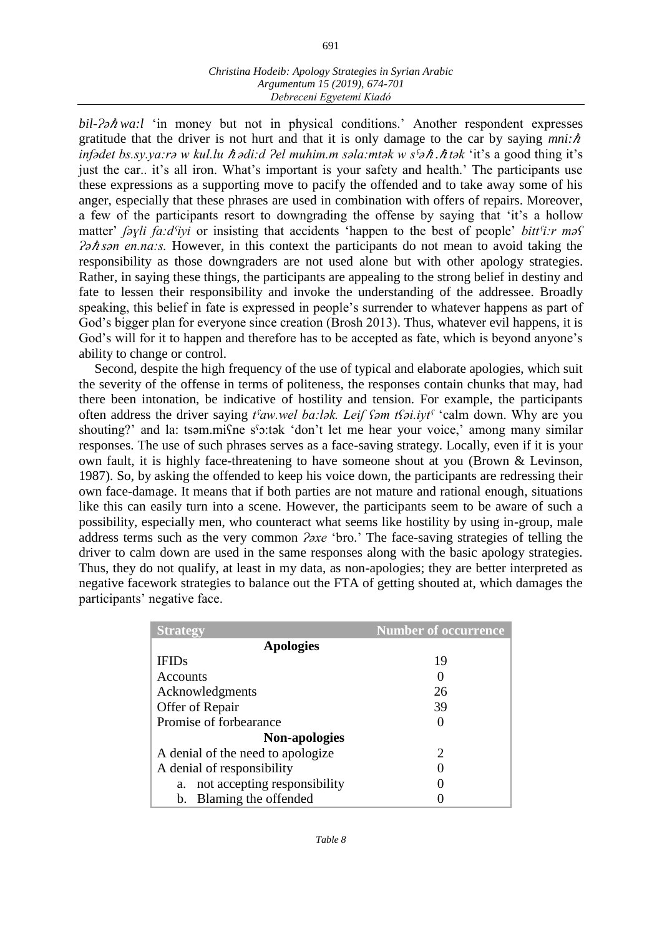691

*bil-?* $\partial \hbar w a$ :*l* 'in money but not in physical conditions.' Another respondent expresses gratitude that the driver is not hurt and that it is only damage to the car by saying  $mni:\hbar$ *infədet bs.sy.ya:rə w kul.lu ħədi:d ?el muhim.m səla:mtək w s<sup><i>s*</sup> *ə ħ.ħtək* 'it's a good thing it's just the car.. it's all iron. What's important is your safety and health.' The participants use these expressions as a supporting move to pacify the offended and to take away some of his anger, especially that these phrases are used in combination with offers of repairs. Moreover, a few of the participants resort to downgrading the offense by saying that 'it's a hollow matter' *ʃəɣli fa:dˤiyi* or insisting that accidents 'happen to the best of people' *bittˤi:r məʕ Ɂə*ℏ *sən en.na:s.* However, in this context the participants do not mean to avoid taking the responsibility as those downgraders are not used alone but with other apology strategies. Rather, in saying these things, the participants are appealing to the strong belief in destiny and fate to lessen their responsibility and invoke the understanding of the addressee. Broadly speaking, this belief in fate is expressed in people's surrender to whatever happens as part of God's bigger plan for everyone since creation (Brosh 2013). Thus, whatever evil happens, it is God's will for it to happen and therefore has to be accepted as fate, which is beyond anyone's ability to change or control.

Second, despite the high frequency of the use of typical and elaborate apologies, which suit the severity of the offense in terms of politeness, the responses contain chunks that may, had there been intonation, be indicative of hostility and tension. For example, the participants often address the driver saying *tˤaw.wel ba:lək. Leiʃ ʕəm tʕəi.iytˤ* 'calm down. Why are you shouting?' and la: tsəm.misme s'o:tək 'don't let me hear your voice,' among many similar responses. The use of such phrases serves as a face-saving strategy. Locally, even if it is your own fault, it is highly face-threatening to have someone shout at you (Brown & Levinson, 1987). So, by asking the offended to keep his voice down, the participants are redressing their own face-damage. It means that if both parties are not mature and rational enough, situations like this can easily turn into a scene. However, the participants seem to be aware of such a possibility, especially men, who counteract what seems like hostility by using in-group, male address terms such as the very common *?axe* 'bro.' The face-saving strategies of telling the driver to calm down are used in the same responses along with the basic apology strategies. Thus, they do not qualify, at least in my data, as non-apologies; they are better interpreted as negative facework strategies to balance out the FTA of getting shouted at, which damages the participants' negative face.

| <b>Strategy</b>                    | <b>Number of occurrence</b> |
|------------------------------------|-----------------------------|
| <b>Apologies</b>                   |                             |
| <b>IFIDs</b>                       | 19                          |
| Accounts                           | $\theta$                    |
| Acknowledgments                    | 26                          |
| Offer of Repair                    | 39                          |
| Promise of forbearance             | 0                           |
| <b>Non-apologies</b>               |                             |
| A denial of the need to apologize  | $\mathcal{D}_{\mathcal{L}}$ |
| A denial of responsibility         | 0                           |
| not accepting responsibility<br>a. | 0                           |
| b. Blaming the offended            |                             |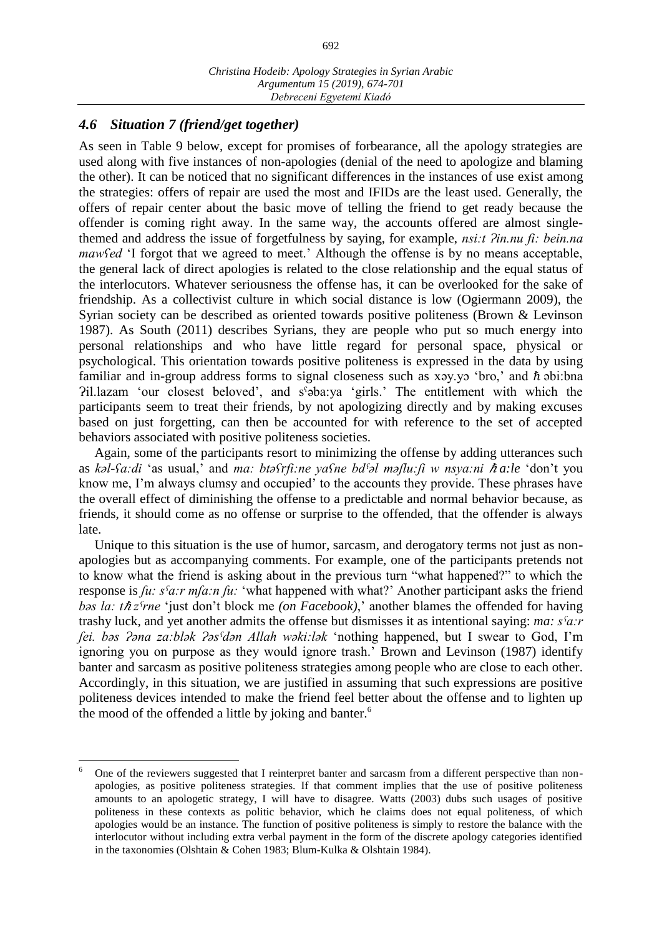# *4.6 Situation 7 (friend/get together)*

 $\overline{a}$ 

As seen in Table 9 below, except for promises of forbearance, all the apology strategies are used along with five instances of non-apologies (denial of the need to apologize and blaming the other). It can be noticed that no significant differences in the instances of use exist among the strategies: offers of repair are used the most and IFIDs are the least used. Generally, the offers of repair center about the basic move of telling the friend to get ready because the offender is coming right away. In the same way, the accounts offered are almost singlethemed and address the issue of forgetfulness by saying, for example, *nsi:t*  $\partial$ *in.nu fi: bein.na mawfed* 'I forgot that we agreed to meet.' Although the offense is by no means acceptable, the general lack of direct apologies is related to the close relationship and the equal status of the interlocutors. Whatever seriousness the offense has, it can be overlooked for the sake of friendship. As a collectivist culture in which social distance is low (Ogiermann 2009), the Syrian society can be described as oriented towards positive politeness (Brown & Levinson 1987). As South (2011) describes Syrians, they are people who put so much energy into personal relationships and who have little regard for personal space, physical or psychological. This orientation towards positive politeness is expressed in the data by using familiar and in-group address forms to signal closeness such as xay.yo 'bro,' and  $\hbar$  abi:bna Ɂil.lazam 'our closest beloved', and sˤəba:ya 'girls.' The entitlement with which the participants seem to treat their friends, by not apologizing directly and by making excuses based on just forgetting, can then be accounted for with reference to the set of accepted behaviors associated with positive politeness societies.

Again, some of the participants resort to minimizing the offense by adding utterances such as *k*al-*fa:di* 'as usual,' and *ma: btafrfi:ne yafne bd<sup><i>s*</sup>al maflu:fi w nsya:ni ħa:le 'don't you know me, I'm always clumsy and occupied' to the accounts they provide. These phrases have the overall effect of diminishing the offense to a predictable and normal behavior because, as friends, it should come as no offense or surprise to the offended, that the offender is always late.

Unique to this situation is the use of humor, sarcasm, and derogatory terms not just as nonapologies but as accompanying comments. For example, one of the participants pretends not to know what the friend is asking about in the previous turn "what happened?" to which the response is *ʃu: sˤa:r mʃa:n ʃu:* 'what happened with what?' Another participant asks the friend *bəs la: thz<sup>c</sup>rne* 'just don't block me *(on Facebook)*,' another blames the offended for having trashy luck, and yet another admits the offense but dismisses it as intentional saying: *ma: sˤa:r ʃei. bəs Ɂəna za:blək Ɂəsˤdən Allah wəki:lək* 'nothing happened, but I swear to God, I'm ignoring you on purpose as they would ignore trash.' Brown and Levinson (1987) identify banter and sarcasm as positive politeness strategies among people who are close to each other. Accordingly, in this situation, we are justified in assuming that such expressions are positive politeness devices intended to make the friend feel better about the offense and to lighten up the mood of the offended a little by joking and banter.<sup>6</sup>

<sup>6</sup> One of the reviewers suggested that I reinterpret banter and sarcasm from a different perspective than nonapologies, as positive politeness strategies. If that comment implies that the use of positive politeness amounts to an apologetic strategy, I will have to disagree. Watts (2003) dubs such usages of positive politeness in these contexts as politic behavior, which he claims does not equal politeness, of which apologies would be an instance. The function of positive politeness is simply to restore the balance with the interlocutor without including extra verbal payment in the form of the discrete apology categories identified in the taxonomies (Olshtain & Cohen 1983; Blum-Kulka & Olshtain 1984).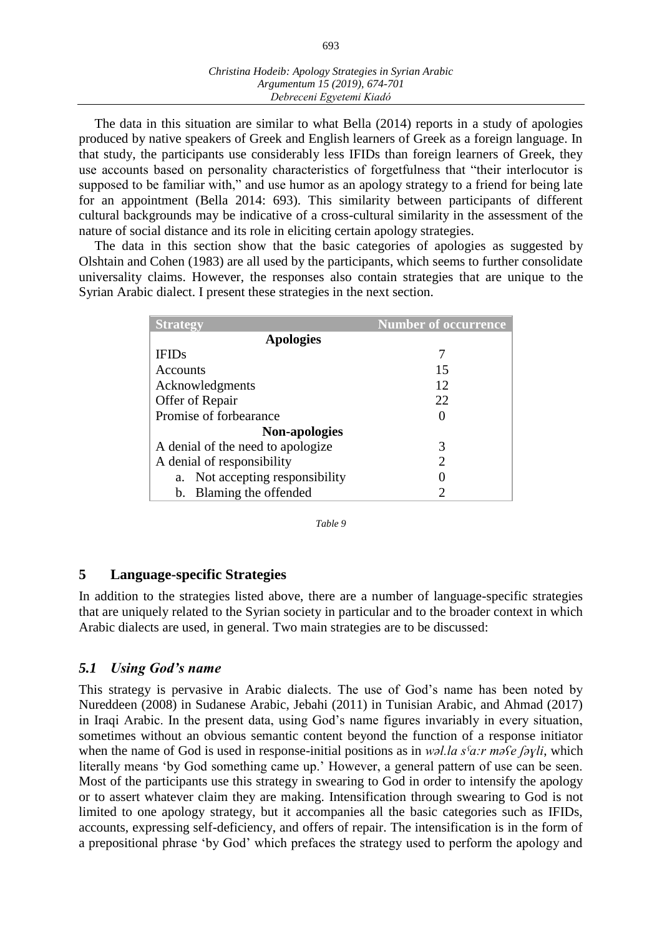The data in this situation are similar to what Bella (2014) reports in a study of apologies produced by native speakers of Greek and English learners of Greek as a foreign language. In that study, the participants use considerably less IFIDs than foreign learners of Greek, they use accounts based on personality characteristics of forgetfulness that "their interlocutor is supposed to be familiar with," and use humor as an apology strategy to a friend for being late for an appointment (Bella 2014: 693). This similarity between participants of different cultural backgrounds may be indicative of a cross-cultural similarity in the assessment of the nature of social distance and its role in eliciting certain apology strategies.

The data in this section show that the basic categories of apologies as suggested by Olshtain and Cohen (1983) are all used by the participants, which seems to further consolidate universality claims. However, the responses also contain strategies that are unique to the Syrian Arabic dialect. I present these strategies in the next section.

| <b>Strategy</b>                   | <b>Number of occurrence</b> |
|-----------------------------------|-----------------------------|
| <b>Apologies</b>                  |                             |
| <b>IFIDs</b>                      |                             |
| Accounts                          | 15                          |
| Acknowledgments                   | 12                          |
| Offer of Repair                   | 22                          |
| Promise of forbearance            | $\mathbf{\Omega}$           |
| <b>Non-apologies</b>              |                             |
| A denial of the need to apologize | 3                           |
| A denial of responsibility        | 2                           |
| a. Not accepting responsibility   |                             |
| b. Blaming the offended           | 2                           |

*Table 9*

# **5 Language-specific Strategies**

In addition to the strategies listed above, there are a number of language-specific strategies that are uniquely related to the Syrian society in particular and to the broader context in which Arabic dialects are used, in general. Two main strategies are to be discussed:

# *5.1 Using God's name*

This strategy is pervasive in Arabic dialects. The use of God's name has been noted by Nureddeen (2008) in Sudanese Arabic, Jebahi (2011) in Tunisian Arabic, and Ahmad (2017) in Iraqi Arabic. In the present data, using God's name figures invariably in every situation, sometimes without an obvious semantic content beyond the function of a response initiator when the name of God is used in response-initial positions as in *wəl.la sˤa:r məʕe ʃəɣli*, which literally means 'by God something came up.' However, a general pattern of use can be seen. Most of the participants use this strategy in swearing to God in order to intensify the apology or to assert whatever claim they are making. Intensification through swearing to God is not limited to one apology strategy, but it accompanies all the basic categories such as IFIDs, accounts, expressing self-deficiency, and offers of repair. The intensification is in the form of a prepositional phrase 'by God' which prefaces the strategy used to perform the apology and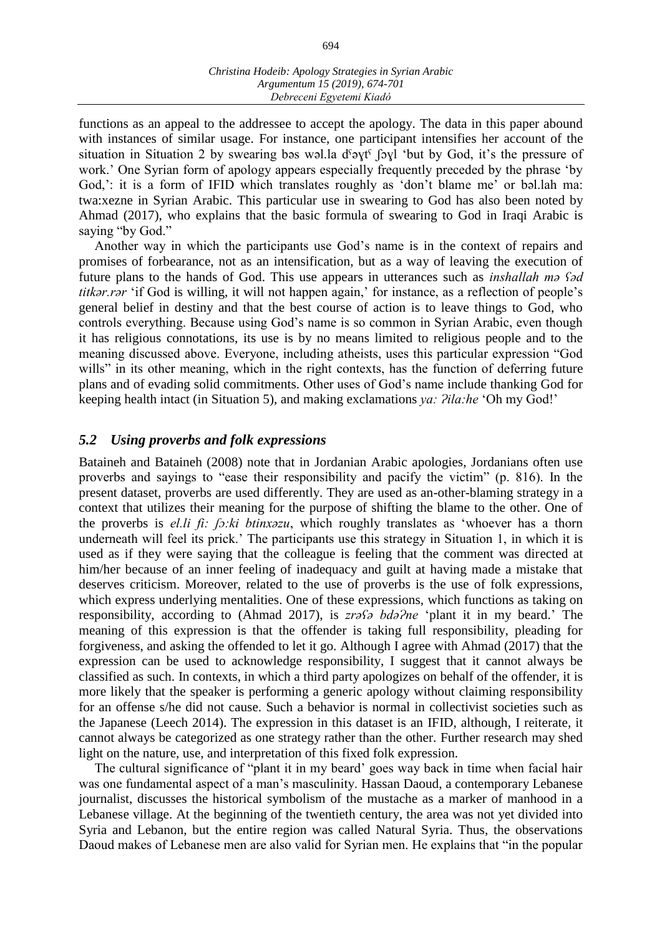functions as an appeal to the addressee to accept the apology. The data in this paper abound with instances of similar usage. For instance, one participant intensifies her account of the situation in Situation 2 by swearing bəs wəl.la d<sup>s</sup>əyt<sup>s</sup> [əyl 'but by God, it's the pressure of work.' One Syrian form of apology appears especially frequently preceded by the phrase 'by God,': it is a form of IFID which translates roughly as 'don't blame me' or bəl.lah ma: twa:xezne in Syrian Arabic. This particular use in swearing to God has also been noted by Ahmad (2017), who explains that the basic formula of swearing to God in Iraqi Arabic is saying "by God."

Another way in which the participants use God's name is in the context of repairs and promises of forbearance, not as an intensification, but as a way of leaving the execution of future plans to the hands of God. This use appears in utterances such as *inshallah mə ʕəd titkər.rər* 'if God is willing, it will not happen again,' for instance, as a reflection of people's general belief in destiny and that the best course of action is to leave things to God, who controls everything. Because using God's name is so common in Syrian Arabic, even though it has religious connotations, its use is by no means limited to religious people and to the meaning discussed above. Everyone, including atheists, uses this particular expression "God wills" in its other meaning, which in the right contexts, has the function of deferring future plans and of evading solid commitments. Other uses of God's name include thanking God for keeping health intact (in Situation 5), and making exclamations *ya:*  $^i$ *ila:he* 'Oh my God!'

# *5.2 Using proverbs and folk expressions*

Bataineh and Bataineh (2008) note that in Jordanian Arabic apologies, Jordanians often use proverbs and sayings to "ease their responsibility and pacify the victim" (p. 816). In the present dataset, proverbs are used differently. They are used as an-other-blaming strategy in a context that utilizes their meaning for the purpose of shifting the blame to the other. One of the proverbs is *el.li fi: ʃɔ:ki btinxəzu*, which roughly translates as 'whoever has a thorn underneath will feel its prick.' The participants use this strategy in Situation 1, in which it is used as if they were saying that the colleague is feeling that the comment was directed at him/her because of an inner feeling of inadequacy and guilt at having made a mistake that deserves criticism. Moreover, related to the use of proverbs is the use of folk expressions, which express underlying mentalities. One of these expressions, which functions as taking on responsibility, according to (Ahmad 2017), is *zrəst bda?ne* 'plant it in my beard.' The meaning of this expression is that the offender is taking full responsibility, pleading for forgiveness, and asking the offended to let it go. Although I agree with Ahmad (2017) that the expression can be used to acknowledge responsibility, I suggest that it cannot always be classified as such. In contexts, in which a third party apologizes on behalf of the offender, it is more likely that the speaker is performing a generic apology without claiming responsibility for an offense s/he did not cause. Such a behavior is normal in collectivist societies such as the Japanese (Leech 2014). The expression in this dataset is an IFID, although, I reiterate, it cannot always be categorized as one strategy rather than the other. Further research may shed light on the nature, use, and interpretation of this fixed folk expression.

The cultural significance of "plant it in my beard' goes way back in time when facial hair was one fundamental aspect of a man's masculinity. Hassan Daoud, a contemporary Lebanese journalist, discusses the historical symbolism of the mustache as a marker of manhood in a Lebanese village. At the beginning of the twentieth century, the area was not yet divided into Syria and Lebanon, but the entire region was called Natural Syria. Thus, the observations Daoud makes of Lebanese men are also valid for Syrian men. He explains that "in the popular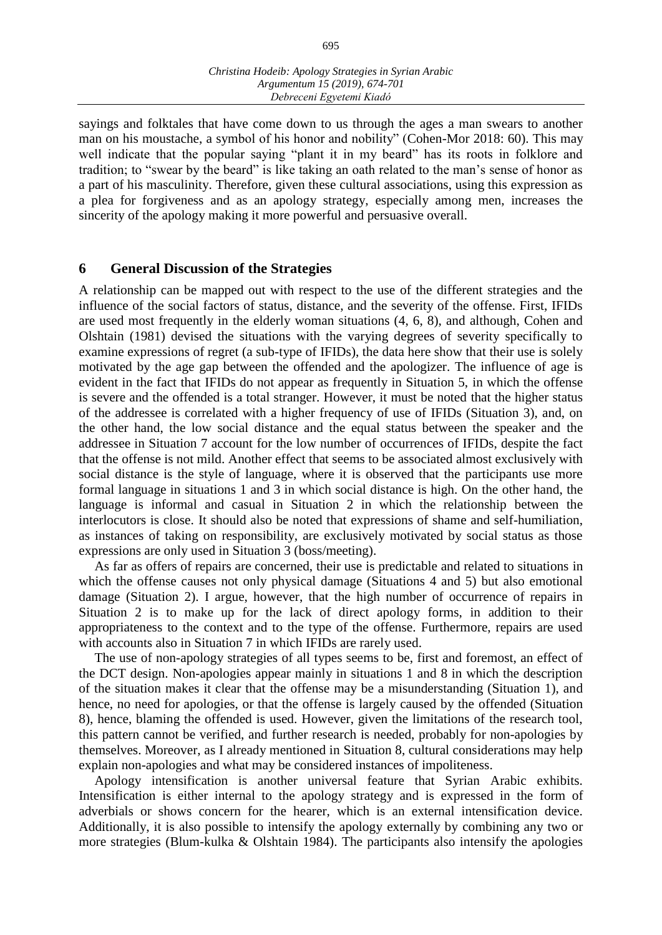sayings and folktales that have come down to us through the ages a man swears to another man on his moustache, a symbol of his honor and nobility" (Cohen-Mor 2018: 60). This may well indicate that the popular saying "plant it in my beard" has its roots in folklore and tradition; to "swear by the beard" is like taking an oath related to the man's sense of honor as a part of his masculinity. Therefore, given these cultural associations, using this expression as a plea for forgiveness and as an apology strategy, especially among men, increases the sincerity of the apology making it more powerful and persuasive overall.

#### **6 General Discussion of the Strategies**

A relationship can be mapped out with respect to the use of the different strategies and the influence of the social factors of status, distance, and the severity of the offense. First, IFIDs are used most frequently in the elderly woman situations (4, 6, 8), and although, Cohen and Olshtain (1981) devised the situations with the varying degrees of severity specifically to examine expressions of regret (a sub-type of IFIDs), the data here show that their use is solely motivated by the age gap between the offended and the apologizer. The influence of age is evident in the fact that IFIDs do not appear as frequently in Situation 5, in which the offense is severe and the offended is a total stranger. However, it must be noted that the higher status of the addressee is correlated with a higher frequency of use of IFIDs (Situation 3), and, on the other hand, the low social distance and the equal status between the speaker and the addressee in Situation 7 account for the low number of occurrences of IFIDs, despite the fact that the offense is not mild. Another effect that seems to be associated almost exclusively with social distance is the style of language, where it is observed that the participants use more formal language in situations 1 and 3 in which social distance is high. On the other hand, the language is informal and casual in Situation 2 in which the relationship between the interlocutors is close. It should also be noted that expressions of shame and self-humiliation, as instances of taking on responsibility, are exclusively motivated by social status as those expressions are only used in Situation 3 (boss/meeting).

As far as offers of repairs are concerned, their use is predictable and related to situations in which the offense causes not only physical damage (Situations 4 and 5) but also emotional damage (Situation 2). I argue, however, that the high number of occurrence of repairs in Situation 2 is to make up for the lack of direct apology forms, in addition to their appropriateness to the context and to the type of the offense. Furthermore, repairs are used with accounts also in Situation 7 in which IFIDs are rarely used.

The use of non-apology strategies of all types seems to be, first and foremost, an effect of the DCT design. Non-apologies appear mainly in situations 1 and 8 in which the description of the situation makes it clear that the offense may be a misunderstanding (Situation 1), and hence, no need for apologies, or that the offense is largely caused by the offended (Situation 8), hence, blaming the offended is used. However, given the limitations of the research tool, this pattern cannot be verified, and further research is needed, probably for non-apologies by themselves. Moreover, as I already mentioned in Situation 8, cultural considerations may help explain non-apologies and what may be considered instances of impoliteness.

Apology intensification is another universal feature that Syrian Arabic exhibits. Intensification is either internal to the apology strategy and is expressed in the form of adverbials or shows concern for the hearer, which is an external intensification device. Additionally, it is also possible to intensify the apology externally by combining any two or more strategies (Blum-kulka & Olshtain 1984). The participants also intensify the apologies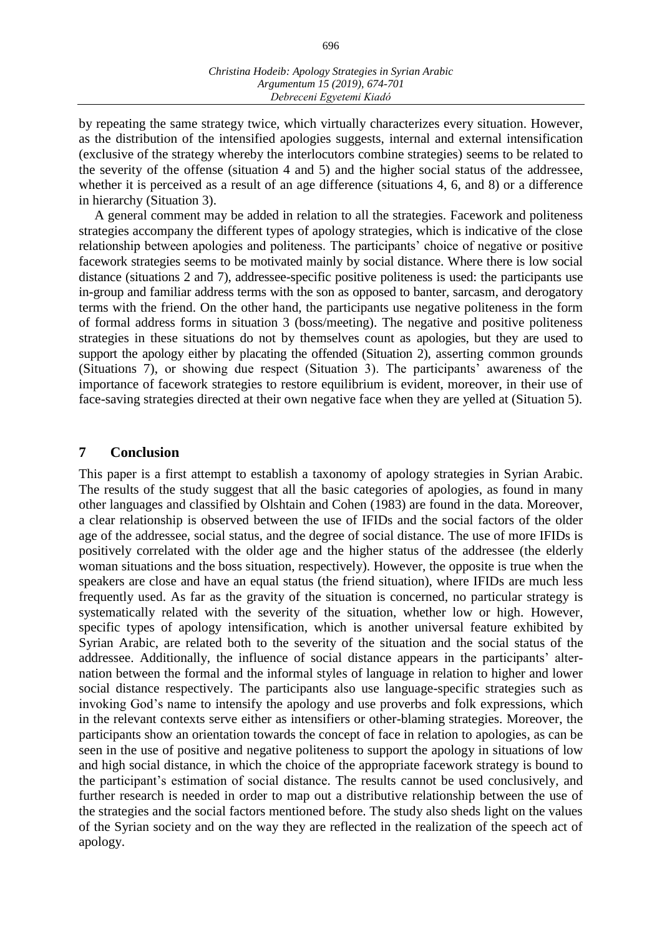by repeating the same strategy twice, which virtually characterizes every situation. However, as the distribution of the intensified apologies suggests, internal and external intensification (exclusive of the strategy whereby the interlocutors combine strategies) seems to be related to the severity of the offense (situation 4 and 5) and the higher social status of the addressee, whether it is perceived as a result of an age difference (situations 4, 6, and 8) or a difference in hierarchy (Situation 3).

A general comment may be added in relation to all the strategies. Facework and politeness strategies accompany the different types of apology strategies, which is indicative of the close relationship between apologies and politeness. The participants' choice of negative or positive facework strategies seems to be motivated mainly by social distance. Where there is low social distance (situations 2 and 7), addressee-specific positive politeness is used: the participants use in-group and familiar address terms with the son as opposed to banter, sarcasm, and derogatory terms with the friend. On the other hand, the participants use negative politeness in the form of formal address forms in situation 3 (boss/meeting). The negative and positive politeness strategies in these situations do not by themselves count as apologies, but they are used to support the apology either by placating the offended (Situation 2), asserting common grounds (Situations 7), or showing due respect (Situation 3). The participants' awareness of the importance of facework strategies to restore equilibrium is evident, moreover, in their use of face-saving strategies directed at their own negative face when they are yelled at (Situation 5).

# **7 Conclusion**

This paper is a first attempt to establish a taxonomy of apology strategies in Syrian Arabic. The results of the study suggest that all the basic categories of apologies, as found in many other languages and classified by Olshtain and Cohen (1983) are found in the data. Moreover, a clear relationship is observed between the use of IFIDs and the social factors of the older age of the addressee, social status, and the degree of social distance. The use of more IFIDs is positively correlated with the older age and the higher status of the addressee (the elderly woman situations and the boss situation, respectively). However, the opposite is true when the speakers are close and have an equal status (the friend situation), where IFIDs are much less frequently used. As far as the gravity of the situation is concerned, no particular strategy is systematically related with the severity of the situation, whether low or high. However, specific types of apology intensification, which is another universal feature exhibited by Syrian Arabic, are related both to the severity of the situation and the social status of the addressee. Additionally, the influence of social distance appears in the participants' alternation between the formal and the informal styles of language in relation to higher and lower social distance respectively. The participants also use language-specific strategies such as invoking God's name to intensify the apology and use proverbs and folk expressions, which in the relevant contexts serve either as intensifiers or other-blaming strategies. Moreover, the participants show an orientation towards the concept of face in relation to apologies, as can be seen in the use of positive and negative politeness to support the apology in situations of low and high social distance, in which the choice of the appropriate facework strategy is bound to the participant's estimation of social distance. The results cannot be used conclusively, and further research is needed in order to map out a distributive relationship between the use of the strategies and the social factors mentioned before. The study also sheds light on the values of the Syrian society and on the way they are reflected in the realization of the speech act of apology.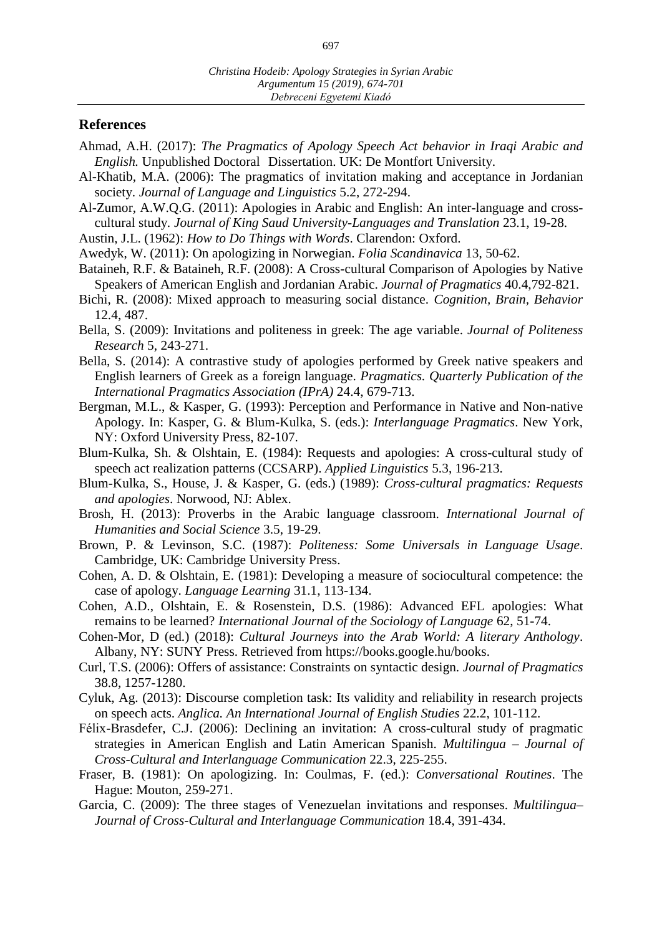#### **References**

- Ahmad, A.H. (2017): *The Pragmatics of Apology Speech Act behavior in Iraqi Arabic and English.* Unpublished Doctoral Dissertation. UK: De Montfort University.
- Al-Khatib, M.A. (2006): The pragmatics of invitation making and acceptance in Jordanian society. *Journal of Language and Linguistics* 5.2, 272-294.
- Al-Zumor, A.W.Q.G. (2011): Apologies in Arabic and English: An inter-language and crosscultural study*. Journal of King Saud University-Languages and Translation* 23.1, 19-28.
- Austin, J.L. (1962): *How to Do Things with Words*. Clarendon: Oxford.
- Awedyk, W. (2011): On apologizing in Norwegian. *Folia Scandinavica* 13, 50-62.
- Bataineh, R.F. & Bataineh, R.F. (2008): A Cross-cultural Comparison of Apologies by Native Speakers of American English and Jordanian Arabic. *Journal of Pragmatics* 40.4,792-821.
- Bichi, R. (2008): Mixed approach to measuring social distance. *Cognition, Brain, Behavior* 12.4, 487.
- Bella, S. (2009): Invitations and politeness in greek: The age variable. *Journal of Politeness Research* 5, 243-271.
- Bella, S. (2014): A contrastive study of apologies performed by Greek native speakers and English learners of Greek as a foreign language. *Pragmatics. Quarterly Publication of the International Pragmatics Association (IPrA)* 24.4, 679-713.
- Bergman, M.L., & Kasper, G. (1993): Perception and Performance in Native and Non-native Apology. In: Kasper, G. & Blum-Kulka, S. (eds.): *Interlanguage Pragmatics*. New York, NY: Oxford University Press, 82-107.
- Blum-Kulka, Sh. & Olshtain, E. (1984): Requests and apologies: A cross-cultural study of speech act realization patterns (CCSARP). *Applied Linguistics* 5.3, 196-213.
- Blum-Kulka, S., House, J. & Kasper, G. (eds.) (1989): *Cross-cultural pragmatics: Requests and apologies*. Norwood, NJ: Ablex.
- Brosh, H. (2013): Proverbs in the Arabic language classroom. *International Journal of Humanities and Social Science* 3.5, 19-29.
- Brown, P. & Levinson, S.C. (1987): *Politeness: Some Universals in Language Usage*. Cambridge, UK: Cambridge University Press.
- Cohen, A. D. & Olshtain, E. (1981): Developing a measure of sociocultural competence: the case of apology. *Language Learning* 31.1, 113-134.
- Cohen, A.D., Olshtain, E. & Rosenstein, D.S. (1986): Advanced EFL apologies: What remains to be learned? *International Journal of the Sociology of Language* 62, 51-74.
- Cohen-Mor, D (ed.) (2018): *Cultural Journeys into the Arab World: A literary Anthology*. Albany, NY: SUNY Press. Retrieved from https://books.google.hu/books.
- Curl, T.S. (2006): Offers of assistance: Constraints on syntactic design. *Journal of Pragmatics* 38.8, 1257-1280.
- Cyluk, Ag. (2013): Discourse completion task: Its validity and reliability in research projects on speech acts. *Anglica. An International Journal of English Studies* 22.2, 101-112.
- Félix-Brasdefer, C.J. (2006): Declining an invitation: A cross-cultural study of pragmatic strategies in American English and Latin American Spanish. *Multilingua – Journal of Cross-Cultural and Interlanguage Communication* 22.3, 225-255.
- Fraser, B. (1981): On apologizing. In: Coulmas, F. (ed.): *Conversational Routines*. The Hague: Mouton, 259-271.
- Garcia, C. (2009): The three stages of Venezuelan invitations and responses. *Multilingua– Journal of Cross-Cultural and Interlanguage Communication* 18.4, 391-434.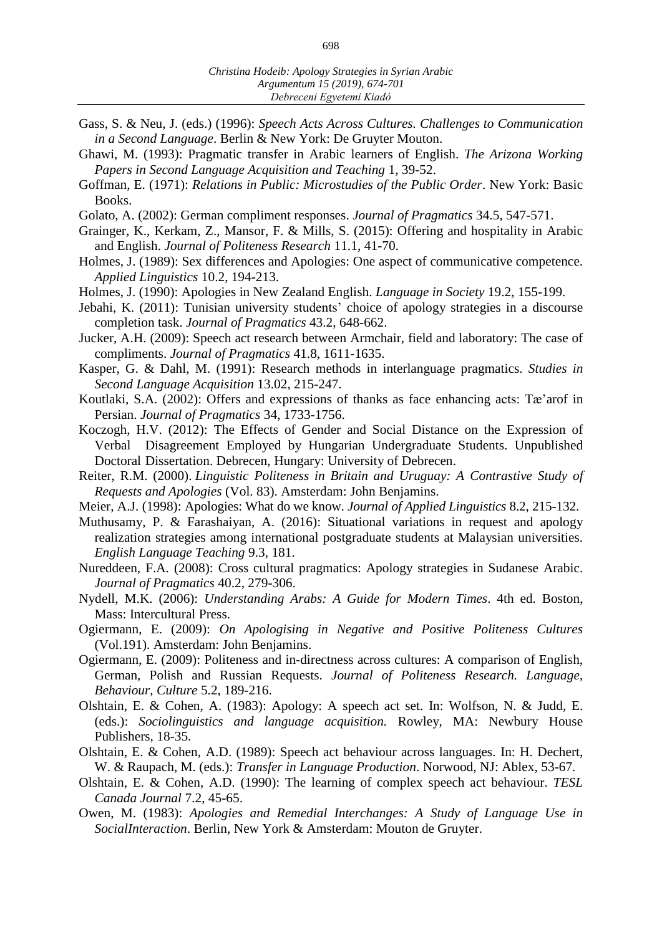- Gass, S. & Neu, J. (eds.) (1996): *Speech Acts Across Cultures. Challenges to Communication in a Second Language*. Berlin & New York: De Gruyter Mouton.
- Ghawi, M. (1993): Pragmatic transfer in Arabic learners of English. *The Arizona Working Papers in Second Language Acquisition and Teaching* 1, 39-52.
- Goffman, E. (1971): *Relations in Public: Microstudies of the Public Order*. New York: Basic Books.
- Golato, A. (2002): German compliment responses. *Journal of Pragmatics* 34.5, 547-571.
- Grainger, K., Kerkam, Z., Mansor, F. & Mills, S. (2015): Offering and hospitality in Arabic and English. *Journal of Politeness Research* 11.1, 41-70.
- Holmes, J. (1989): Sex differences and Apologies: One aspect of communicative competence. *Applied Linguistics* 10.2, 194-213.
- Holmes, J. (1990): Apologies in New Zealand English. *Language in Society* 19.2, 155-199.
- Jebahi, K. (2011): Tunisian university students' choice of apology strategies in a discourse completion task. *Journal of Pragmatics* 43.2, 648-662.
- Jucker, A.H. (2009): Speech act research between Armchair, field and laboratory: The case of compliments. *Journal of Pragmatics* 41.8, 1611-1635.
- Kasper, G. & Dahl, M. (1991): Research methods in interlanguage pragmatics. *Studies in Second Language Acquisition* 13.02, 215-247.
- Koutlaki, S.A. (2002): Offers and expressions of thanks as face enhancing acts: Tæ'arof in Persian. *Journal of Pragmatics* 34, 1733-1756.
- Koczogh, H.V. (2012): The Effects of Gender and Social Distance on the Expression of Verbal Disagreement Employed by Hungarian Undergraduate Students. Unpublished Doctoral Dissertation. Debrecen, Hungary: University of Debrecen.
- Reiter, R.M. (2000). *Linguistic Politeness in Britain and Uruguay: A Contrastive Study of Requests and Apologies* (Vol. 83). Amsterdam: John Benjamins.
- Meier, A.J. (1998): Apologies: What do we know. *Journal of Applied Linguistics* 8.2, 215-132.
- Muthusamy, P. & Farashaiyan, A. (2016): Situational variations in request and apology realization strategies among international postgraduate students at Malaysian universities. *English Language Teaching* 9.3, 181.
- Nureddeen, F.A. (2008): Cross cultural pragmatics: Apology strategies in Sudanese Arabic. *Journal of Pragmatics* 40.2, 279-306.
- Nydell, M.K. (2006): *Understanding Arabs: A Guide for Modern Times*. 4th ed. Boston, Mass: Intercultural Press.
- Ogiermann, E. (2009): *On Apologising in Negative and Positive Politeness Cultures* (Vol.191). Amsterdam: John Benjamins.
- Ogiermann, E. (2009): Politeness and in-directness across cultures: A comparison of English, German, Polish and Russian Requests. *Journal of Politeness Research. Language, Behaviour, Culture* 5.2, 189-216.
- Olshtain, E. & Cohen, A. (1983): Apology: A speech act set. In: Wolfson, N. & Judd, E. (eds.): *Sociolinguistics and language acquisition.* Rowley, MA: Newbury House Publishers*,* 18-35.
- Olshtain, E. & Cohen, A.D. (1989): Speech act behaviour across languages. In: H. Dechert, W. & Raupach, M. (eds.): *Transfer in Language Production*. Norwood, NJ: Ablex, 53-67.
- Olshtain, E. & Cohen, A.D. (1990): The learning of complex speech act behaviour. *TESL Canada Journal* 7.2, 45-65.
- Owen, M. (1983): *Apologies and Remedial Interchanges: A Study of Language Use in SocialInteraction*. Berlin, New York & Amsterdam: Mouton de Gruyter.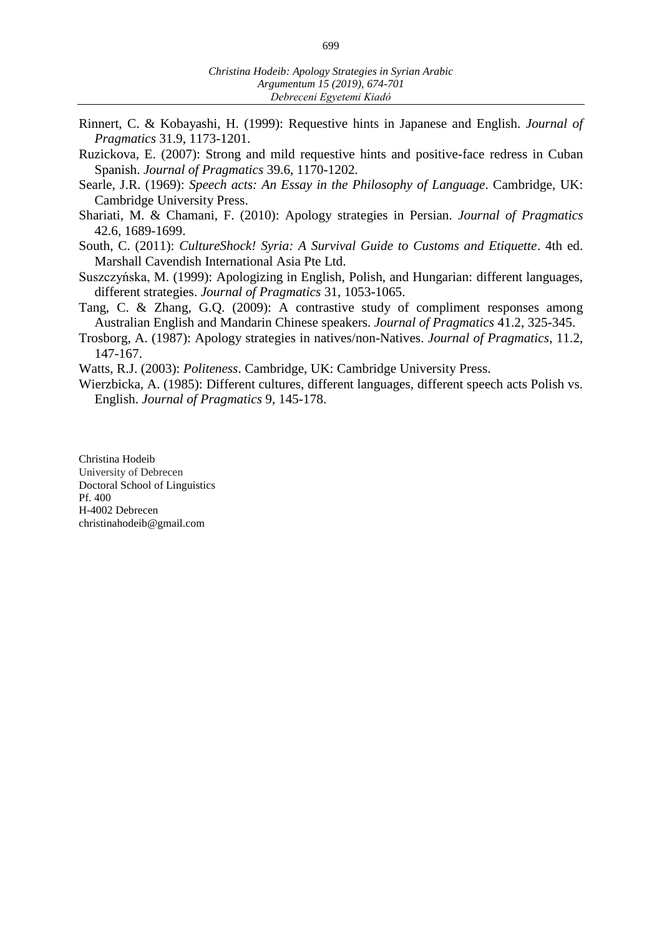- Rinnert, C. & Kobayashi, H. (1999): Requestive hints in Japanese and English. *Journal of Pragmatics* 31.9, 1173-1201.
- Ruzickova, E. (2007): Strong and mild requestive hints and positive-face redress in Cuban Spanish. *Journal of Pragmatics* 39.6, 1170-1202.
- Searle, J.R. (1969): *Speech acts: An Essay in the Philosophy of Language*. Cambridge, UK: Cambridge University Press.
- Shariati, M. & Chamani, F. (2010): Apology strategies in Persian. *Journal of Pragmatics* 42.6, 1689-1699.
- South, C. (2011): *CultureShock! Syria: A Survival Guide to Customs and Etiquette*. 4th ed. Marshall Cavendish International Asia Pte Ltd.
- Suszczyńska, M. (1999): Apologizing in English, Polish, and Hungarian: different languages, different strategies. *Journal of Pragmatics* 31, 1053-1065.
- Tang, C. & Zhang, G.Q. (2009): A contrastive study of compliment responses among Australian English and Mandarin Chinese speakers. *Journal of Pragmatics* 41.2, 325-345.
- Trosborg, A. (1987): Apology strategies in natives/non-Natives. *Journal of Pragmatics*, 11.2, 147-167.
- Watts, R.J. (2003): *Politeness*. Cambridge, UK: Cambridge University Press.
- Wierzbicka, A. (1985): Different cultures, different languages, different speech acts Polish vs. English. *Journal of Pragmatics* 9, 145-178.

Christina Hodeib University of Debrecen Doctoral School of Linguistics Pf. 400 H-4002 Debrecen christinahodeib@gmail.com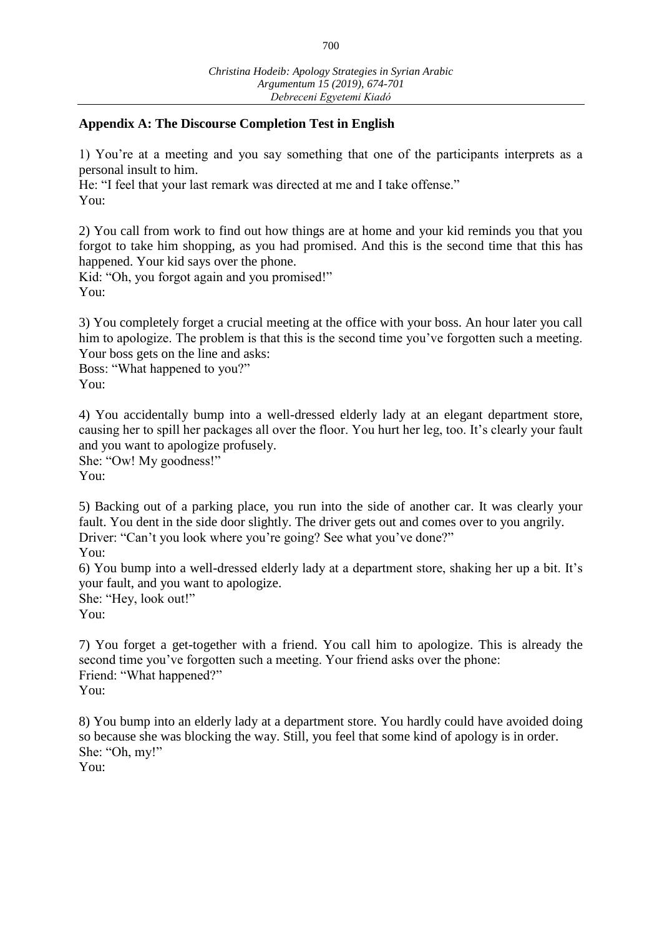# **Appendix A: The Discourse Completion Test in English**

1) You're at a meeting and you say something that one of the participants interprets as a personal insult to him.

He: "I feel that your last remark was directed at me and I take offense." You:

2) You call from work to find out how things are at home and your kid reminds you that you forgot to take him shopping, as you had promised. And this is the second time that this has happened. Your kid says over the phone.

Kid: "Oh, you forgot again and you promised!" You:

3) You completely forget a crucial meeting at the office with your boss. An hour later you call him to apologize. The problem is that this is the second time you've forgotten such a meeting. Your boss gets on the line and asks:

Boss: "What happened to you?"

You:

4) You accidentally bump into a well-dressed elderly lady at an elegant department store, causing her to spill her packages all over the floor. You hurt her leg, too. It's clearly your fault and you want to apologize profusely.

She: "Ow! My goodness!"

You:

5) Backing out of a parking place, you run into the side of another car. It was clearly your fault. You dent in the side door slightly. The driver gets out and comes over to you angrily. Driver: "Can't you look where you're going? See what you've done?"

You:

6) You bump into a well-dressed elderly lady at a department store, shaking her up a bit. It's your fault, and you want to apologize.

She: "Hey, look out!"

You:

7) You forget a get-together with a friend. You call him to apologize. This is already the second time you've forgotten such a meeting. Your friend asks over the phone: Friend: "What happened?" You:

8) You bump into an elderly lady at a department store. You hardly could have avoided doing so because she was blocking the way. Still, you feel that some kind of apology is in order. She: "Oh, my!"

You: